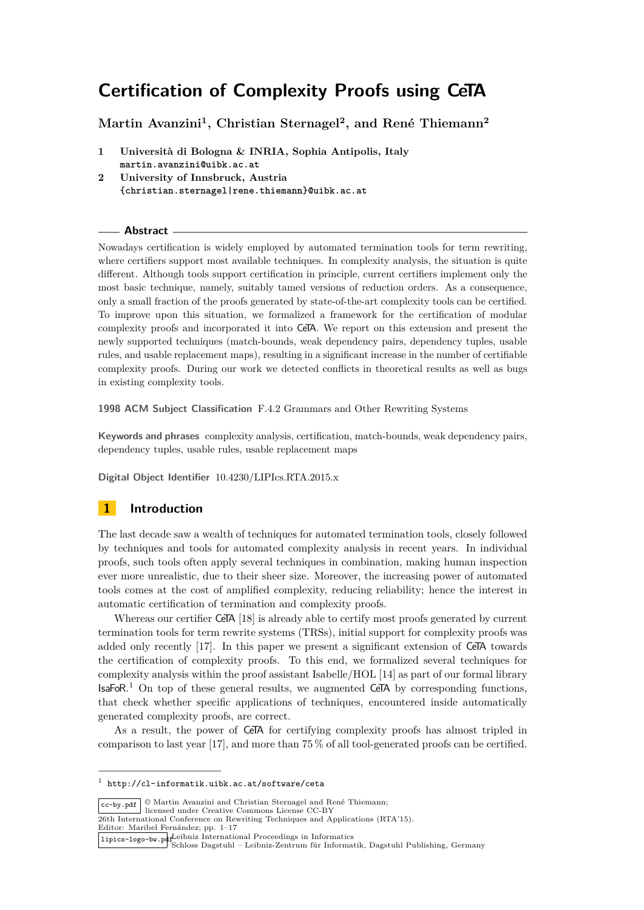# **Martin Avanzini<sup>1</sup> , Christian Sternagel<sup>2</sup> , and René Thiemann<sup>2</sup>**

**1 Università di Bologna & INRIA, Sophia Antipolis, Italy martin.avanzini@uibk.ac.at 2 University of Innsbruck, Austria**

**{christian.sternagel|rene.thiemann}@uibk.ac.at**

## **Abstract**

Nowadays certification is widely employed by automated termination tools for term rewriting, where certifiers support most available techniques. In complexity analysis, the situation is quite different. Although tools support certification in principle, current certifiers implement only the most basic technique, namely, suitably tamed versions of reduction orders. As a consequence, only a small fraction of the proofs generated by state-of-the-art complexity tools can be certified. To improve upon this situation, we formalized a framework for the certification of modular complexity proofs and incorporated it into CeTA. We report on this extension and present the newly supported techniques (match-bounds, weak dependency pairs, dependency tuples, usable rules, and usable replacement maps), resulting in a significant increase in the number of certifiable complexity proofs. During our work we detected conflicts in theoretical results as well as bugs in existing complexity tools.

**1998 ACM Subject Classification** F.4.2 Grammars and Other Rewriting Systems

**Keywords and phrases** complexity analysis, certification, match-bounds, weak dependency pairs, dependency tuples, usable rules, usable replacement maps

**Digital Object Identifier** 10.4230/LIPIcs.RTA.2015.x

# **1 Introduction**

The last decade saw a wealth of techniques for automated termination tools, closely followed by techniques and tools for automated complexity analysis in recent years. In individual proofs, such tools often apply several techniques in combination, making human inspection ever more unrealistic, due to their sheer size. Moreover, the increasing power of automated tools comes at the cost of amplified complexity, reducing reliability; hence the interest in automatic certification of termination and complexity proofs.

Whereas our certifier CeTA [18] is already able to certify most proofs generated by current termination tools for term rewrite systems (TRSs), initial support for complexity proofs was added only recently [17]. In this paper we present a significant extension of CeTA towards the certification of complexity proofs. To this end, we formalized several techniques for complexity analysis within the proof assistant Isabelle/HOL [14] as part of our formal library  $IsaFoR$ <sup>1</sup> On top of these general results, we augmented CeTA by corresponding functions, that check whether specific applications of techniques, encountered inside automatically generated complexity proofs, are correct.

As a result, the power of CeTA for certifying complexity proofs has almost tripled in comparison to last year [17], and more than 75 % of all tool-generated proofs can be certified.

 $\overline{\text{cc-by.pdf}}$   $\circ$  Martin Avanzini and Christian Sternagel and René Thiemann;

Editor: Maribel Fernández; pp. 1–17

<sup>1</sup> http://cl-informatik.uibk.ac.at/software/ceta

licensed under Creative Commons License CC-BY 26th International Conference on Rewriting Techniques and Applications (RTA'15).

Leibniz International Proceedings in Informatics lipics-logo-bw.pdf Schloss Dagstuhl – Leibniz-Zentrum für Informatik, Dagstuhl Publishing, Germany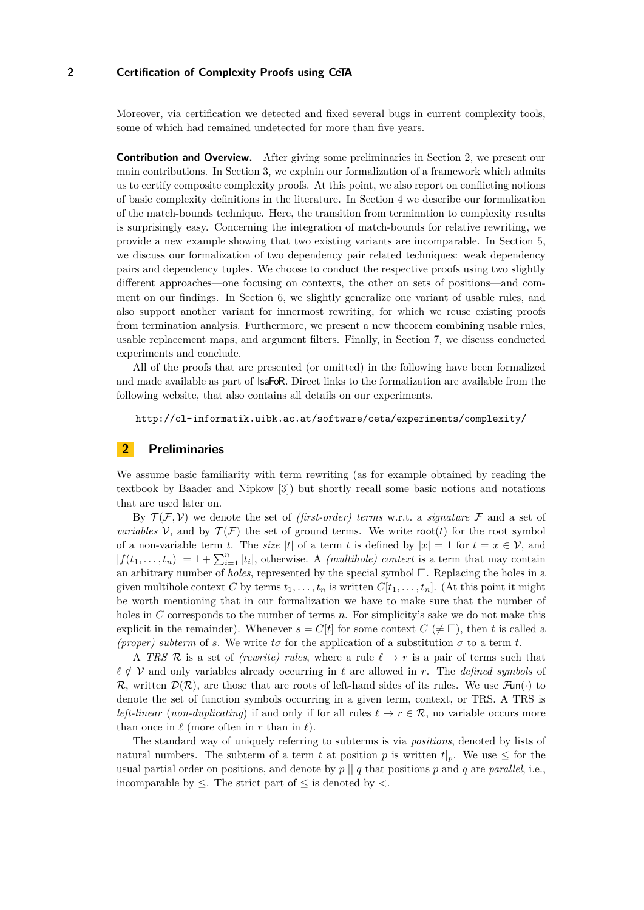Moreover, via certification we detected and fixed several bugs in current complexity tools, some of which had remained undetected for more than five years.

**Contribution and Overview.** After giving some preliminaries in Section 2, we present our main contributions. In Section 3, we explain our formalization of a framework which admits us to certify composite complexity proofs. At this point, we also report on conflicting notions of basic complexity definitions in the literature. In Section 4 we describe our formalization of the match-bounds technique. Here, the transition from termination to complexity results is surprisingly easy. Concerning the integration of match-bounds for relative rewriting, we provide a new example showing that two existing variants are incomparable. In Section 5, we discuss our formalization of two dependency pair related techniques: weak dependency pairs and dependency tuples. We choose to conduct the respective proofs using two slightly different approaches—one focusing on contexts, the other on sets of positions—and comment on our findings. In Section 6, we slightly generalize one variant of usable rules, and also support another variant for innermost rewriting, for which we reuse existing proofs from termination analysis. Furthermore, we present a new theorem combining usable rules, usable replacement maps, and argument filters. Finally, in Section 7, we discuss conducted experiments and conclude.

All of the proofs that are presented (or omitted) in the following have been formalized and made available as part of IsaFoR. Direct links to the formalization are available from the following website, that also contains all details on our experiments.

http://cl-informatik.uibk.ac.at/software/ceta/experiments/complexity/

# **2 Preliminaries**

We assume basic familiarity with term rewriting (as for example obtained by reading the textbook by Baader and Nipkow [3]) but shortly recall some basic notions and notations that are used later on.

By  $\mathcal{T}(\mathcal{F}, \mathcal{V})$  we denote the set of *(first-order)* terms w.r.t. a *signature*  $\mathcal F$  and a set of *variables*  $V$ , and by  $\mathcal{T}(\mathcal{F})$  the set of ground terms. We write root(*t*) for the root symbol of a non-variable term *t*. The *size* |*t*| of a term *t* is defined by  $|x| = 1$  for  $t = x \in V$ , and  $|f(t_1,...,t_n)| = 1 + \sum_{i=1}^n |t_i|$ , otherwise. A *(multihole) context* is a term that may contain an arbitrary number of *holes*, represented by the special symbol  $\Box$ . Replacing the holes in a given multihole context C by terms  $t_1, \ldots, t_n$  is written  $C[t_1, \ldots, t_n]$ . (At this point it might be worth mentioning that in our formalization we have to make sure that the number of holes in *C* corresponds to the number of terms *n*. For simplicity's sake we do not make this explicit in the remainder). Whenever  $s = C[t]$  for some context  $C \neq \Box$ , then t is called a *(proper) subterm* of *s*. We write  $t\sigma$  for the application of a substitution  $\sigma$  to a term  $t$ .

A *TRS* R is a set of *(rewrite) rules*, where a rule  $\ell \rightarrow r$  is a pair of terms such that *` /*∈ V and only variables already occurring in *`* are allowed in *r*. The *defined symbols* of R, written  $\mathcal{D}(\mathcal{R})$ , are those that are roots of left-hand sides of its rules. We use  $\mathcal{F}\text{un}(\cdot)$  to denote the set of function symbols occurring in a given term, context, or TRS. A TRS is *left-linear* (*non-duplicating*) if and only if for all rules  $\ell \to r \in \mathcal{R}$ , no variable occurs more than once in  $\ell$  (more often in *r* than in  $\ell$ ).

The standard way of uniquely referring to subterms is via *positions*, denoted by lists of natural numbers. The subterm of a term t at position p is written  $t|_p$ . We use  $\leq$  for the usual partial order on positions, and denote by  $p \mid q$  that positions p and q are *parallel*, i.e., incomparable by  $\leq$ . The strict part of  $\leq$  is denoted by  $\lt$ .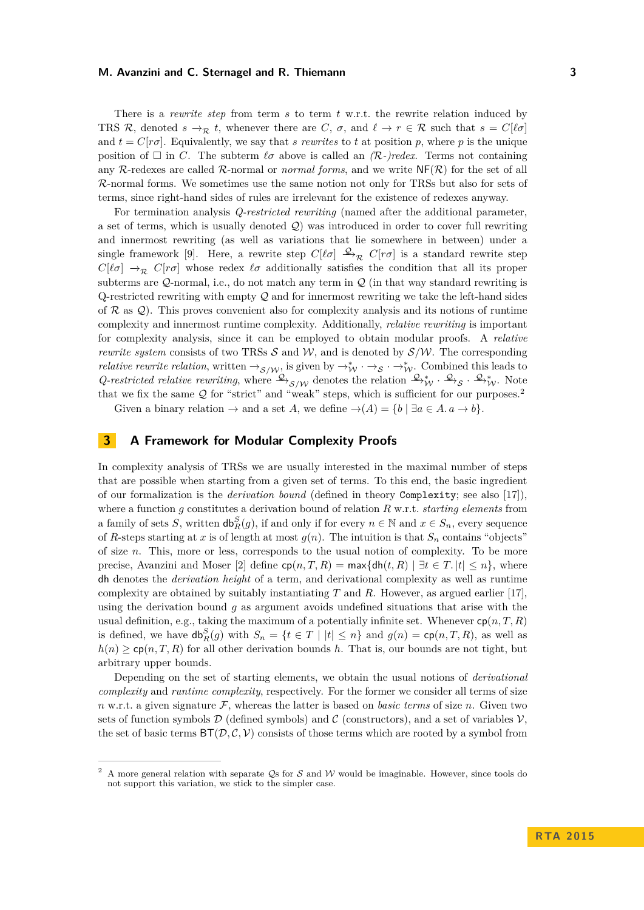There is a *rewrite step* from term *s* to term *t* w.r.t. the rewrite relation induced by TRS R, denoted  $s \to_R t$ , whenever there are C,  $\sigma$ , and  $\ell \to r \in \mathcal{R}$  such that  $s = C[\ell \sigma]$ and  $t = C[r\sigma]$ . Equivalently, we say that *s* rewrites to *t* at position *p*, where *p* is the unique position of  $\square$  in *C*. The subterm  $\ell \sigma$  above is called an  $(R$ -)redex. Terms not containing any R-redexes are called R-normal or *normal forms*, and we write  $N(F(\mathcal{R}))$  for the set of all R-normal forms. We sometimes use the same notion not only for TRSs but also for sets of terms, since right-hand sides of rules are irrelevant for the existence of redexes anyway.

For termination analysis *Q-restricted rewriting* (named after the additional parameter, a set of terms, which is usually denoted  $Q$ ) was introduced in order to cover full rewriting and innermost rewriting (as well as variations that lie somewhere in between) under a single framework [9]. Here, a rewrite step  $C[\ell \sigma] \xrightarrow{\mathcal{Q}} \mathcal{R} C[r\sigma]$  is a standard rewrite step  $C[\ell\sigma] \rightarrow_{\mathcal{R}} C[r\sigma]$  whose redex  $\ell\sigma$  additionally satisfies the condition that all its proper subterms are  $Q$ -normal, i.e., do not match any term in  $Q$  (in that way standard rewriting is  $Q$ -restricted rewriting with empty  $Q$  and for innermost rewriting we take the left-hand sides of  $\mathcal R$  as  $\mathcal Q$ ). This proves convenient also for complexity analysis and its notions of runtime complexity and innermost runtime complexity. Additionally, *relative rewriting* is important for complexity analysis, since it can be employed to obtain modular proofs. A *relative rewrite system* consists of two TRSs  $S$  and  $W$ , and is denoted by  $S/W$ . The corresponding *relative rewrite relation*, written  $\rightarrow_{\mathcal{S}/\mathcal{W}}$ , is given by  $\rightarrow_{\mathcal{W}}^* \rightarrow_{\mathcal{S}} \rightarrow_{\mathcal{W}}^*$ . Combined this leads to *Q-restricted relative rewriting*, where  $\frac{Q}{S/N}$  denotes the relation  $\frac{Q}{W}$  ·  $\frac{Q}{S}$  ·  $\frac{Q}{W}$ . Note that we fix the same  $Q$  for "strict" and "weak" steps, which is sufficient for our purposes.<sup>2</sup>

Given a binary relation  $\rightarrow$  and a set *A*, we define  $\rightarrow$   $(A) = \{b \mid \exists a \in A \ldots \rightarrow b\}.$ 

# **3 A Framework for Modular Complexity Proofs**

In complexity analysis of TRSs we are usually interested in the maximal number of steps that are possible when starting from a given set of terms. To this end, the basic ingredient of our formalization is the *derivation bound* (defined in theory Complexity; see also [17]), where a function *g* constitutes a derivation bound of relation *R* w.r.t. *starting elements* from a family of sets *S*, written  $db_R^S(g)$ , if and only if for every  $n \in \mathbb{N}$  and  $x \in S_n$ , every sequence of *R*-steps starting at *x* is of length at most  $g(n)$ . The intuition is that  $S_n$  contains "objects" of size *n*. This, more or less, corresponds to the usual notion of complexity. To be more precise, Avanzini and Moser [2] define  $cp(n, T, R) = \max\{dh(t, R) | \exists t \in T, |t| \leq n\}$ , where dh denotes the *derivation height* of a term, and derivational complexity as well as runtime complexity are obtained by suitably instantiating *T* and *R*. However, as argued earlier [17], using the derivation bound *g* as argument avoids undefined situations that arise with the usual definition, e.g., taking the maximum of a potentially infinite set. Whenever  $cp(n, T, R)$ is defined, we have  $db_R^S(g)$  with  $S_n = \{t \in T \mid |t| \leq n\}$  and  $g(n) = \text{cp}(n, T, R)$ , as well as  $h(n)$  > cp( $n, T, R$ ) for all other derivation bounds *h*. That is, our bounds are not tight, but arbitrary upper bounds.

Depending on the set of starting elements, we obtain the usual notions of *derivational complexity* and *runtime complexity*, respectively. For the former we consider all terms of size  $n \text{ w.r.t. a given signature } \mathcal{F}$ , whereas the latter is based on *basic terms* of size  $n$ . Given two sets of function symbols  $\mathcal D$  (defined symbols) and  $\mathcal C$  (constructors), and a set of variables  $\mathcal V$ , the set of basic terms  $BT(D, C, V)$  consists of those terms which are rooted by a symbol from

A more general relation with separate  $\mathcal{Q}_S$  for S and W would be imaginable. However, since tools do not support this variation, we stick to the simpler case.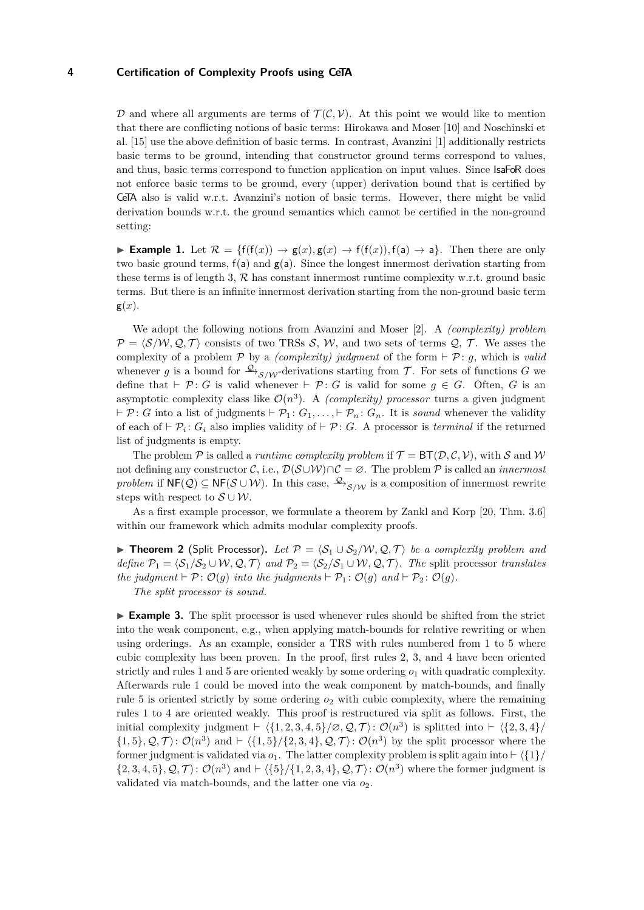D and where all arguments are terms of  $\mathcal{T}(\mathcal{C}, \mathcal{V})$ . At this point we would like to mention that there are conflicting notions of basic terms: Hirokawa and Moser [10] and Noschinski et al. [15] use the above definition of basic terms. In contrast, Avanzini [1] additionally restricts basic terms to be ground, intending that constructor ground terms correspond to values, and thus, basic terms correspond to function application on input values. Since IsaFoR does not enforce basic terms to be ground, every (upper) derivation bound that is certified by CeTA also is valid w.r.t. Avanzini's notion of basic terms. However, there might be valid derivation bounds w.r.t. the ground semantics which cannot be certified in the non-ground setting:

**Example 1.** Let  $\mathcal{R} = \{f(f(x)) \to g(x), g(x) \to f(f(x)), f(a) \to a\}$ . Then there are only two basic ground terms,  $f(a)$  and  $g(a)$ . Since the longest innermost derivation starting from these terms is of length 3,  $R$  has constant innermost runtime complexity w.r.t. ground basic terms. But there is an infinite innermost derivation starting from the non-ground basic term  $g(x)$ .

We adopt the following notions from Avanzini and Moser [2]. A *(complexity) problem*  $P = \langle S/W, Q, T \rangle$  consists of two TRSs S, W, and two sets of terms Q, T. We asses the complexity of a problem P by a *(complexity) judgment* of the form  $\vdash \mathcal{P}$ : *g*, which is *valid* whenever *g* is a bound for  $\frac{Q}{\gamma}S/N$ -derivations starting from T. For sets of functions G we define that  $\vdash \mathcal{P}$ : *G* is valid whenever  $\vdash \mathcal{P}$ : *G* is valid for some  $g \in G$ . Often, *G* is an asymptotic complexity class like  $\mathcal{O}(n^3)$ . A *(complexity) processor* turns a given judgment  $\vdash \mathcal{P}$ : *G* into a list of judgments  $\vdash \mathcal{P}_1$ :  $G_1, \ldots, \vdash \mathcal{P}_n$ :  $G_n$ . It is *sound* whenever the validity of each of  $\vdash \mathcal{P}_i$ :  $G_i$  also implies validity of  $\vdash \mathcal{P}$ : *G*. A processor is *terminal* if the returned list of judgments is empty.

The problem  $P$  is called a *runtime complexity problem* if  $T = BT(D, C, V)$ , with S and W not defining any constructor C, i.e.,  $\mathcal{D}(\mathcal{S} \cup \mathcal{W}) \cap \mathcal{C} = \emptyset$ . The problem P is called an *innermost problem* if  $NF(Q) \subseteq NF(S \cup W)$ . In this case,  $\frac{Q}{S/N}$  is a composition of innermost rewrite steps with respect to  $S \cup \mathcal{W}$ .

As a first example processor, we formulate a theorem by Zankl and Korp [20, Thm. 3.6] within our framework which admits modular complexity proofs.

**► Theorem 2** (Split Processor). Let  $P = \langle S_1 \cup S_2 \rangle W$ ,  $Q$ ,  $T \rangle$  be a complexity problem and *define*  $P_1 = \langle S_1/S_2 \cup W, Q, T \rangle$  *and*  $P_2 = \langle S_2/S_1 \cup W, Q, T \rangle$ *. The split processor translates the judgment*  $\vdash \mathcal{P} \colon \mathcal{O}(g)$  *into the judgments*  $\vdash \mathcal{P}_1 \colon \mathcal{O}(g)$  *and*  $\vdash \mathcal{P}_2 \colon \mathcal{O}(g)$ *.* 

*The split processor is sound.*

**Example 3.** The split processor is used whenever rules should be shifted from the strict into the weak component, e.g., when applying match-bounds for relative rewriting or when using orderings. As an example, consider a TRS with rules numbered from 1 to 5 where cubic complexity has been proven. In the proof, first rules 2, 3, and 4 have been oriented strictly and rules 1 and 5 are oriented weakly by some ordering  $o_1$  with quadratic complexity. Afterwards rule 1 could be moved into the weak component by match-bounds, and finally rule 5 is oriented strictly by some ordering *o*<sup>2</sup> with cubic complexity, where the remaining rules 1 to 4 are oriented weakly. This proof is restructured via split as follows. First, the initial complexity judgment  $\vdash \langle \{1, 2, 3, 4, 5\} \rangle \varnothing, \mathcal{Q}, \mathcal{T} \rangle$ :  $\mathcal{O}(n^3)$  is splitted into  $\vdash \langle \{2, 3, 4\} \rangle$  $\{1,5\},\mathcal{Q},\mathcal{T}\}\colon\mathcal{O}(n^3)$  and  $\vdash \langle \{1,5\}/\{2,3,4\},\mathcal{Q},\mathcal{T}\rangle\colon\mathcal{O}(n^3)$  by the split processor where the former judgment is validated via  $o_1$ . The latter complexity problem is split again into  $\vdash \langle \{1\}/\rangle$  $\{2,3,4,5\},\mathcal{Q},\mathcal{T}\}\colon\mathcal{O}(n^3)$  and  $\vdash \langle \{5\}/\{1,2,3,4\},\mathcal{Q},\mathcal{T}\rangle\colon\mathcal{O}(n^3)$  where the former judgment is validated via match-bounds, and the latter one via *o*2.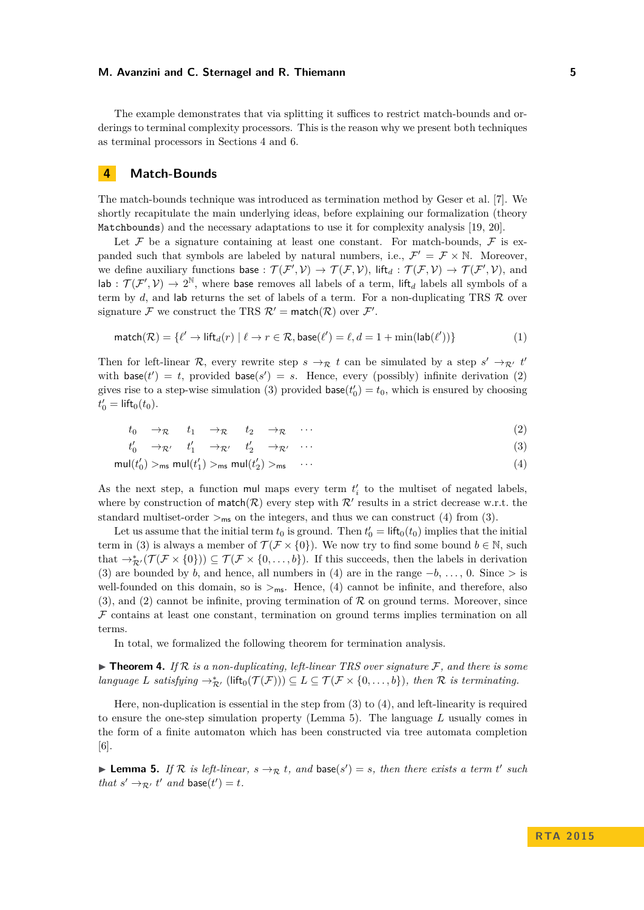The example demonstrates that via splitting it suffices to restrict match-bounds and orderings to terminal complexity processors. This is the reason why we present both techniques as terminal processors in Sections 4 and 6.

# **4 Match-Bounds**

The match-bounds technique was introduced as termination method by Geser et al. [7]. We shortly recapitulate the main underlying ideas, before explaining our formalization (theory Matchbounds) and the necessary adaptations to use it for complexity analysis [19, 20].

Let  $\mathcal F$  be a signature containing at least one constant. For match-bounds,  $\mathcal F$  is expanded such that symbols are labeled by natural numbers, i.e.,  $\mathcal{F}' = \mathcal{F} \times \mathbb{N}$ . Moreover, we define auxiliary functions base :  $\mathcal{T}(\mathcal{F}', \mathcal{V}) \to \mathcal{T}(\mathcal{F}, \mathcal{V})$ , lift<sub>d</sub> :  $\mathcal{T}(\mathcal{F}, \mathcal{V}) \to \mathcal{T}(\mathcal{F}', \mathcal{V})$ , and  $\text{lab}: \mathcal{T}(\mathcal{F}', \mathcal{V}) \to 2^{\mathbb{N}},$  where base removes all labels of a term, lift<sub>d</sub> labels all symbols of a term by  $d$ , and lab returns the set of labels of a term. For a non-duplicating TRS  $R$  over signature F we construct the TRS  $\mathcal{R}' = \text{match}(\mathcal{R})$  over  $\mathcal{F}'$ .

$$
\text{match}(\mathcal{R}) = \{ \ell' \to \text{lift}_d(r) \mid \ell \to r \in \mathcal{R}, \text{base}(\ell') = \ell, d = 1 + \min(\text{lab}(\ell')) \} \tag{1}
$$

Then for left-linear R, every rewrite step  $s \to_R t$  can be simulated by a step  $s' \to_{R'} t'$ with  $base(t') = t$ , provided  $base(s') = s$ . Hence, every (possibly) infinite derivation (2) gives rise to a step-wise simulation (3) provided  $base(t'_0) = t_0$ , which is ensured by choosing  $t'_0 = \text{lift}_0(t_0).$ 

$$
t_0 \to_{\mathcal{R}} t_1 \to_{\mathcal{R}} t_2 \to_{\mathcal{R}} \cdots \tag{2}
$$

$$
t'_0 \to_{\mathcal{R}'} t'_1 \to_{\mathcal{R}'} t'_2 \to_{\mathcal{R}'} \cdots \tag{3}
$$

$$
\mathsf{mul}(t'_0) >_{\mathsf{ms}} \mathsf{mul}(t'_1) >_{\mathsf{ms}} \mathsf{mul}(t'_2) >_{\mathsf{ms}} \cdots \tag{4}
$$

As the next step, a function mul maps every term  $t'_{i}$  to the multiset of negated labels, where by construction of match( $\mathcal{R}$ ) every step with  $\mathcal{R}'$  results in a strict decrease w.r.t. the standard multiset-order  $>_{\sf ms}$  on the integers, and thus we can construct (4) from (3).

Let us assume that the initial term  $t_0$  is ground. Then  $t'_0 = \text{lift}_0(t_0)$  implies that the initial term in (3) is always a member of  $\mathcal{T}(\mathcal{F} \times \{0\})$ . We now try to find some bound  $b \in \mathbb{N}$ , such that  $\rightarrow_{\mathcal{R}'}^*(\mathcal{T}(\mathcal{F}\times\{0\}))\subseteq \mathcal{T}(\mathcal{F}\times\{0,\ldots,b\})$ . If this succeeds, then the labels in derivation (3) are bounded by *b*, and hence, all numbers in (4) are in the range  $-b$ , ..., 0. Since > is well-founded on this domain, so is  $>_{\text{ms}}$ . Hence, (4) cannot be infinite, and therefore, also  $(3)$ , and  $(2)$  cannot be infinite, proving termination of  $\mathcal R$  on ground terms. Moreover, since  $F$  contains at least one constant, termination on ground terms implies termination on all terms.

In total, we formalized the following theorem for termination analysis.

 $\blacktriangleright$  **Theorem 4.** If  $\mathcal{R}$  is a non-duplicating, left-linear TRS over signature  $\mathcal{F}$ , and there is some  $\mathit{language\ L\ satisfying} \rightarrow_{\mathcal{R}'}^* (\mathsf{lift}_0(\mathcal{T}(\mathcal{F}))) \subseteq L \subseteq \mathcal{T}(\mathcal{F} \times \{0,\ldots,b\}),\ \mathit{then\ } \mathcal{R} \ \mathit{is \ terminating}.$ 

Here, non-duplication is essential in the step from (3) to (4), and left-linearity is required to ensure the one-step simulation property (Lemma 5). The language *L* usually comes in the form of a finite automaton which has been constructed via tree automata completion [6].

**Lemma 5.** If R is left-linear,  $s \rightarrow_R t$ , and base( $s'$ ) = *s*, then there exists a term *t'* such *that*  $s' \rightarrow_{\mathcal{R}'} t'$  *and* **base**(*t'*) = *t.*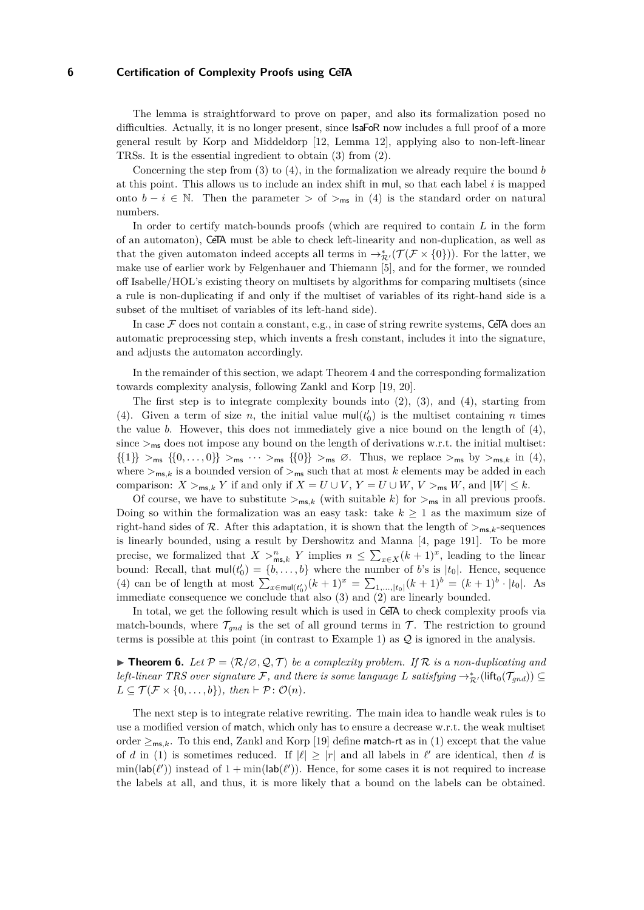The lemma is straightforward to prove on paper, and also its formalization posed no difficulties. Actually, it is no longer present, since **IsaFoR** now includes a full proof of a more general result by Korp and Middeldorp [12, Lemma 12], applying also to non-left-linear TRSs. It is the essential ingredient to obtain (3) from (2).

Concerning the step from (3) to (4), in the formalization we already require the bound *b* at this point. This allows us to include an index shift in mul, so that each label *i* is mapped onto  $b - i \in \mathbb{N}$ . Then the parameter > of ><sub>ms</sub> in (4) is the standard order on natural numbers.

In order to certify match-bounds proofs (which are required to contain *L* in the form of an automaton), CeTA must be able to check left-linearity and non-duplication, as well as that the given automaton indeed accepts all terms in  $\rightarrow_{\mathcal{R}'}^* (\mathcal{T}(\mathcal{F} \times \{0\}))$ . For the latter, we make use of earlier work by Felgenhauer and Thiemann [5], and for the former, we rounded off Isabelle/HOL's existing theory on multisets by algorithms for comparing multisets (since a rule is non-duplicating if and only if the multiset of variables of its right-hand side is a subset of the multiset of variables of its left-hand side).

In case  $\mathcal F$  does not contain a constant, e.g., in case of string rewrite systems, CeTA does an automatic preprocessing step, which invents a fresh constant, includes it into the signature, and adjusts the automaton accordingly.

In the remainder of this section, we adapt Theorem 4 and the corresponding formalization towards complexity analysis, following Zankl and Korp [19, 20].

The first step is to integrate complexity bounds into  $(2)$ ,  $(3)$ , and  $(4)$ , starting from (4). Given a term of size *n*, the initial value  $\text{mul}(t'_0)$  is the multiset containing *n* times the value *b*. However, this does not immediately give a nice bound on the length of (4), since  $>_{\text{ms}}$  does not impose any bound on the length of derivations w.r.t. the initial multiset:  $\{\{1\}\}\geq_{\mathsf{ms}}\{\{0,\ldots,0\}\geq_{\mathsf{ms}}\cdots\geq_{\mathsf{ms}}\{\{0\}\}\geq_{\mathsf{ms}}\varnothing$ . Thus, we replace  $\geq_{\mathsf{ms}}$  by  $\geq_{\mathsf{ms}}\kappa$  in (4), where  $>_{\text{ms},k}$  is a bounded version of  $>_{\text{ms}}$  such that at most *k* elements may be added in each comparison:  $X >_{\mathsf{ms},k} Y$  if and only if  $X = U \cup V$ ,  $Y = U \cup W$ ,  $V >_{\mathsf{ms}} W$ , and  $|W| \leq k$ .

Of course, we have to substitute  $>_{\text{ms},k}$  (with suitable k) for  $>_{\text{ms}}$  in all previous proofs. Doing so within the formalization was an easy task: take  $k \geq 1$  as the maximum size of right-hand sides of R. After this adaptation, it is shown that the length of  $>_{ms,k}$ -sequences is linearly bounded, using a result by Dershowitz and Manna [4, page 191]. To be more precise, we formalized that  $X >^n_{\text{ms},k} Y$  implies  $n \leq \sum_{x \in X} (k+1)^x$ , leading to the linear bound: Recall, that  $\text{mul}(t'_0) = \{b, \ldots, b\}$  where the number of *b*'s is  $|t_0|$ . Hence, sequence (4) can be of length at most  $\sum_{x \in \text{mul}(t_0')}(k+1)^x = \sum_{1,\ldots,|t_0|}(k+1)^b = (k+1)^b \cdot |t_0|$ . As immediate consequence we conclude that also (3) and (2) are linearly bounded.

In total, we get the following result which is used in CeTA to check complexity proofs via match-bounds, where  $\mathcal{T}_{gnd}$  is the set of all ground terms in  $\mathcal{T}$ . The restriction to ground terms is possible at this point (in contrast to Example 1) as  $\mathcal Q$  is ignored in the analysis.

**► Theorem 6.** Let  $\mathcal{P} = \langle \mathcal{R}/\emptyset, \mathcal{Q}, \mathcal{T} \rangle$  be a complexity problem. If  $\mathcal{R}$  is a non-duplicating and *left-linear TRS over signature*  $\mathcal{F}$ *, and there is some language*  $L$  *satisfying*  $\rightarrow_{\mathcal{R}'}^*$  (lift<sub>0</sub>( $\mathcal{T}_{gnd}$ ))  $\subseteq$  $L \subseteq \mathcal{T}(\mathcal{F} \times \{0, \ldots, b\}), \text{ then } \vdash \mathcal{P} \colon \mathcal{O}(n).$ 

The next step is to integrate relative rewriting. The main idea to handle weak rules is to use a modified version of match, which only has to ensure a decrease w.r.t. the weak multiset order  $\geq_{\text{ms},k}$ . To this end, Zankl and Korp [19] define match-rt as in (1) except that the value of *d* in (1) is sometimes reduced. If  $|\ell| \geq |r|$  and all labels in  $\ell'$  are identical, then *d* is  $\min(\textsf{lab}(\ell'))$  instead of  $1 + \min(\textsf{lab}(\ell'))$ . Hence, for some cases it is not required to increase the labels at all, and thus, it is more likely that a bound on the labels can be obtained.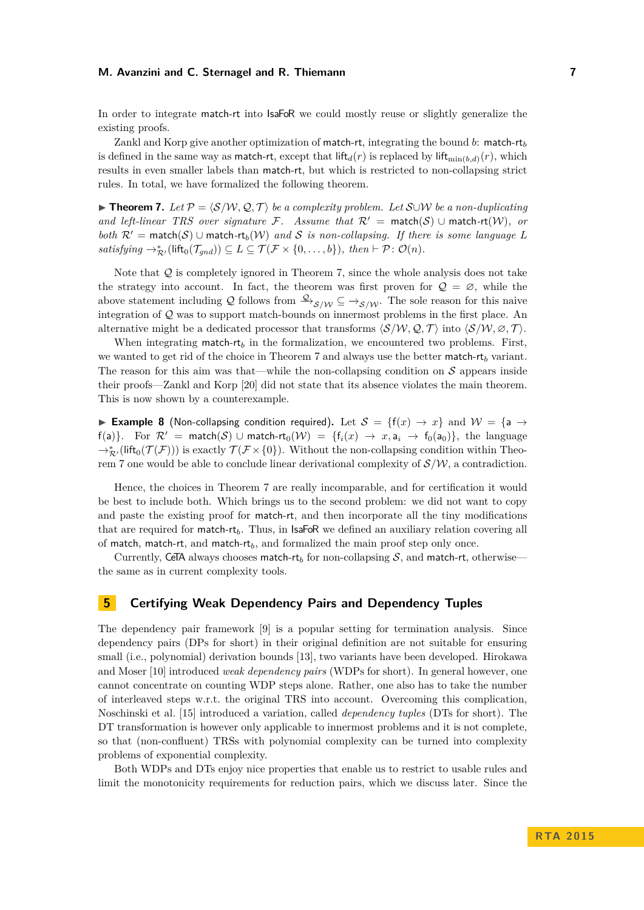In order to integrate match-rt into  $IsaFoR$  we could mostly reuse or slightly generalize the existing proofs.

Zankl and Korp give another optimization of match-rt, integrating the bound *b*: match-rt*<sup>b</sup>* is defined in the same way as match-rt, except that  $\text{lift}_{d}(r)$  is replaced by  $\text{lift}_{\text{min}(b,d)}(r)$ , which results in even smaller labels than match-rt, but which is restricted to non-collapsing strict rules. In total, we have formalized the following theorem.

**► Theorem 7.** Let  $\mathcal{P} = \langle \mathcal{S}/\mathcal{W}, \mathcal{Q}, \mathcal{T} \rangle$  be a complexity problem. Let S∪W be a non-duplicating *and left-linear TRS over signature*  $\mathcal{F}$ . Assume that  $\mathcal{R}' = \text{match}(S) \cup \text{match-rt}(\mathcal{W})$ , or *both*  $\mathcal{R}'$  = match(S) ∪ match-rt<sub>b</sub>(W) and S is non-collapsing. If there is some language L  $satisfying \rightarrow_{\mathcal{R}'}^* (lift_0(\mathcal{T}_{gnd})) \subseteq L \subseteq \mathcal{T}(\mathcal{F} \times \{0, \ldots, b\}), then \vdash \mathcal{P} : \mathcal{O}(n).$ 

Note that  $Q$  is completely ignored in Theorem 7, since the whole analysis does not take the strategy into account. In fact, the theorem was first proven for  $\mathcal{Q} = \emptyset$ , while the above statement including Q follows from  $\frac{Q}{\gamma}$ <sub>S/W</sub> ⊆  $\rightarrow$ <sub>S/W</sub>. The sole reason for this naive integration of Q was to support match-bounds on innermost problems in the first place. An alternative might be a dedicated processor that transforms  $\langle S/W, \mathcal{Q}, \mathcal{T} \rangle$  into  $\langle S/W, \mathcal{Q}, \mathcal{T} \rangle$ .

When integrating match-rt<sub>b</sub> in the formalization, we encountered two problems. First, we wanted to get rid of the choice in Theorem 7 and always use the better match-rt*<sup>b</sup>* variant. The reason for this aim was that—while the non-collapsing condition on  $S$  appears inside their proofs—Zankl and Korp [20] did not state that its absence violates the main theorem. This is now shown by a counterexample.

**► Example 8** (Non-collapsing condition required). Let  $S = \{f(x) \rightarrow x\}$  and  $W = \{a \rightarrow b\}$ f(a)}. For  $\mathcal{R}' = \text{match}(\mathcal{S}) \cup \text{match-rt}_0(\mathcal{W}) = \{f_i(x) \to x, a_i \to f_0(a_0)\}\$ , the language  $\rightarrow_{\mathcal{R}'}^*$ (lift<sub>0</sub>( $\mathcal{T}(\mathcal{F}))$ ) is exactly  $\mathcal{T}(\mathcal{F} \times \{0\})$ . Without the non-collapsing condition within Theorem 7 one would be able to conclude linear derivational complexity of  $\mathcal{S}/\mathcal{W}$ , a contradiction.

Hence, the choices in Theorem 7 are really incomparable, and for certification it would be best to include both. Which brings us to the second problem: we did not want to copy and paste the existing proof for match-rt, and then incorporate all the tiny modifications that are required for match-rt<sub>b</sub>. Thus, in  $IsaFoR$  we defined an auxiliary relation covering all of match, match-rt, and match-rt<sub>b</sub>, and formalized the main proof step only once.

Currently, CeTA always chooses match-rt<sub>b</sub> for non-collapsing  $S$ , and match-rt, otherwise the same as in current complexity tools.

# **5 Certifying Weak Dependency Pairs and Dependency Tuples**

The dependency pair framework [9] is a popular setting for termination analysis. Since dependency pairs (DPs for short) in their original definition are not suitable for ensuring small (i.e., polynomial) derivation bounds [13], two variants have been developed. Hirokawa and Moser [10] introduced *weak dependency pairs* (WDPs for short). In general however, one cannot concentrate on counting WDP steps alone. Rather, one also has to take the number of interleaved steps w.r.t. the original TRS into account. Overcoming this complication, Noschinski et al. [15] introduced a variation, called *dependency tuples* (DTs for short). The DT transformation is however only applicable to innermost problems and it is not complete, so that (non-confluent) TRSs with polynomial complexity can be turned into complexity problems of exponential complexity.

Both WDPs and DTs enjoy nice properties that enable us to restrict to usable rules and limit the monotonicity requirements for reduction pairs, which we discuss later. Since the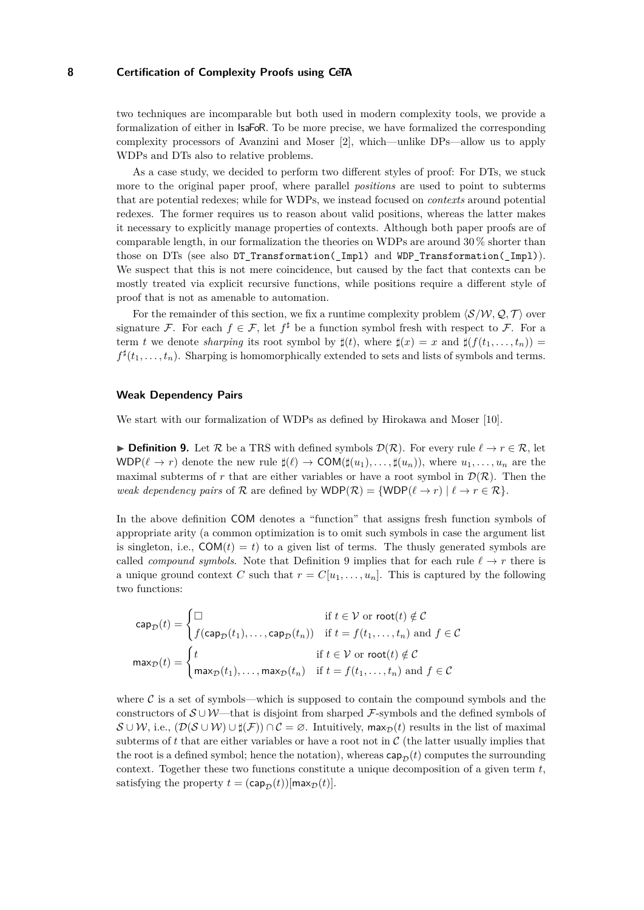two techniques are incomparable but both used in modern complexity tools, we provide a formalization of either in IsaFoR. To be more precise, we have formalized the corresponding complexity processors of Avanzini and Moser [2], which—unlike DPs—allow us to apply WDPs and DTs also to relative problems.

As a case study, we decided to perform two different styles of proof: For DTs, we stuck more to the original paper proof, where parallel *positions* are used to point to subterms that are potential redexes; while for WDPs, we instead focused on *contexts* around potential redexes. The former requires us to reason about valid positions, whereas the latter makes it necessary to explicitly manage properties of contexts. Although both paper proofs are of comparable length, in our formalization the theories on WDPs are around 30 % shorter than those on DTs (see also DT\_Transformation(\_Impl) and WDP\_Transformation(\_Impl)). We suspect that this is not mere coincidence, but caused by the fact that contexts can be mostly treated via explicit recursive functions, while positions require a different style of proof that is not as amenable to automation.

For the remainder of this section, we fix a runtime complexity problem  $\langle S/W, Q, T \rangle$  over signature F. For each  $f \in \mathcal{F}$ , let  $f^{\sharp}$  be a function symbol fresh with respect to F. For a term *t* we denote *sharping* its root symbol by  $\sharp(t)$ , where  $\sharp(x) = x$  and  $\sharp(f(t_1, \ldots, t_n)) =$  $f^{\sharp}(t_1, \ldots, t_n)$ . Sharping is homomorphically extended to sets and lists of symbols and terms.

## **Weak Dependency Pairs**

We start with our formalization of WDPs as defined by Hirokawa and Moser [10].

**Definition 9.** Let R be a TRS with defined symbols  $\mathcal{D}(\mathcal{R})$ . For every rule  $\ell \to r \in \mathcal{R}$ , let WDP( $\ell \to r$ ) denote the new rule  $\sharp(\ell) \to \text{COM}(\sharp(u_1), \ldots, \sharp(u_n))$ , where  $u_1, \ldots, u_n$  are the maximal subterms of r that are either variables or have a root symbol in  $\mathcal{D}(\mathcal{R})$ . Then the *weak dependency pairs* of  $R$  are defined by  $WDP(R) = \{ WDP(\ell \rightarrow r) | \ell \rightarrow r \in R \}.$ 

In the above definition COM denotes a "function" that assigns fresh function symbols of appropriate arity (a common optimization is to omit such symbols in case the argument list is singleton, i.e.,  $COM(t) = t$ ) to a given list of terms. The thusly generated symbols are called *compound symbols*. Note that Definition 9 implies that for each rule  $\ell \rightarrow r$  there is a unique ground context *C* such that  $r = C[u_1, \ldots, u_n]$ . This is captured by the following two functions:

$$
\operatorname{cap}_{\mathcal{D}}(t) = \begin{cases} \Box & \text{if } t \in \mathcal{V} \text{ or } \operatorname{root}(t) \notin \mathcal{C} \\ f(\operatorname{cap}_{\mathcal{D}}(t_1), \dots, \operatorname{cap}_{\mathcal{D}}(t_n)) & \text{if } t = f(t_1, \dots, t_n) \text{ and } f \in \mathcal{C} \end{cases}
$$

$$
\max_{\mathcal{D}}(t) = \begin{cases} t & \text{if } t \in \mathcal{V} \text{ or } \operatorname{root}(t) \notin \mathcal{C} \\ \max_{\mathcal{D}}(t_1), \dots, \max_{\mathcal{D}}(t_n) & \text{if } t = f(t_1, \dots, t_n) \text{ and } f \in \mathcal{C} \end{cases}
$$

where  $\mathcal C$  is a set of symbols—which is supposed to contain the compound symbols and the constructors of  $\mathcal{S} \cup \mathcal{W}$ —that is disjoint from sharped F-symbols and the defined symbols of  $\mathcal{S} \cup \mathcal{W}$ , i.e.,  $(\mathcal{D}(\mathcal{S} \cup \mathcal{W}) \cup \sharp(\mathcal{F})) \cap \mathcal{C} = \varnothing$ . Intuitively, max $_{\mathcal{D}}(t)$  results in the list of maximal subterms of  $t$  that are either variables or have a root not in  $\mathcal C$  (the latter usually implies that the root is a defined symbol; hence the notation), whereas  $cap_{\mathcal{D}}(t)$  computes the surrounding context. Together these two functions constitute a unique decomposition of a given term *t*, satisfying the property  $t = (cap_{\mathcal{D}}(t))[max_{\mathcal{D}}(t)].$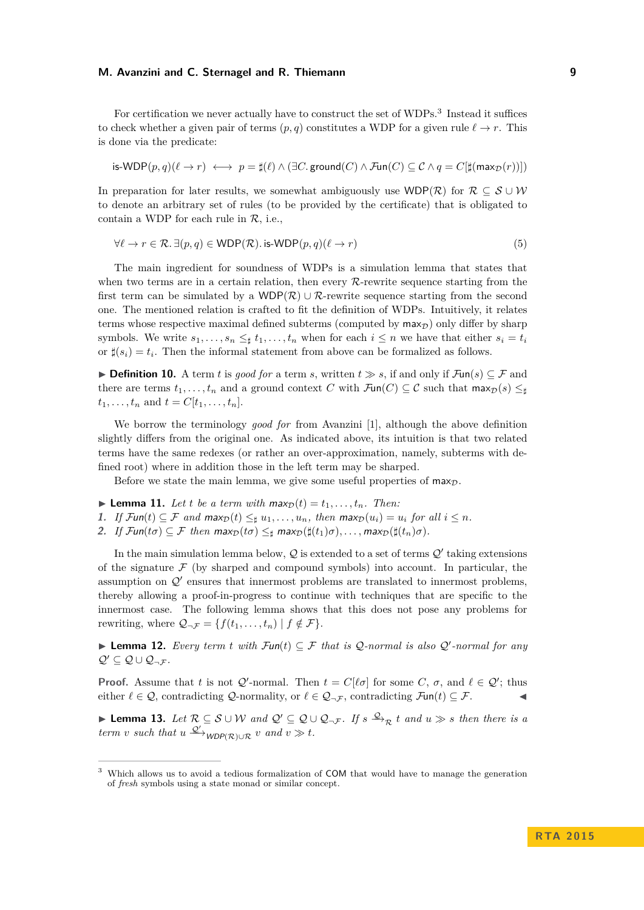For certification we never actually have to construct the set of WDPs.<sup>3</sup> Instead it suffices to check whether a given pair of terms  $(p, q)$  constitutes a WDP for a given rule  $\ell \rightarrow r$ . This is done via the predicate:

$$
\mathsf{is-WDP}(p,q)(\ell \to r) \; \longleftrightarrow \; p = \sharp(\ell) \land (\exists C.\mathsf{ground}(C) \land \mathcal{F}\mathsf{un}(C) \subseteq \mathcal{C} \land q = C[\sharp(\mathsf{max}_{\mathcal{D}}(r))])
$$

In preparation for later results, we somewhat ambiguously use WDP(R) for  $\mathcal{R} \subseteq \mathcal{S} \cup \mathcal{W}$ to denote an arbitrary set of rules (to be provided by the certificate) that is obligated to contain a WDP for each rule in  $\mathcal{R}$ , i.e.,

$$
\forall \ell \to r \in \mathcal{R}. \exists (p, q) \in \text{WDP}(\mathcal{R}). \text{ is-WDP}(p, q) (\ell \to r) \tag{5}
$$

The main ingredient for soundness of WDPs is a simulation lemma that states that when two terms are in a certain relation, then every  $\mathcal{R}$ -rewrite sequence starting from the first term can be simulated by a WDP( $\mathcal{R}$ ) ∪  $\mathcal{R}$ -rewrite sequence starting from the second one. The mentioned relation is crafted to fit the definition of WDPs. Intuitively, it relates terms whose respective maximal defined subterms (computed by  $\max_{\mathcal{D}}$ ) only differ by sharp symbols. We write  $s_1, \ldots, s_n \leq t_1, \ldots, t_n$  when for each  $i \leq n$  we have that either  $s_i = t_i$ or  $\sharp(s_i) = t_i$ . Then the informal statement from above can be formalized as follows.

**► Definition 10.** A term *t* is *good for* a term *s*, written  $t \geq s$ , if and only if  $\mathcal{F}\text{un}(s) \subseteq \mathcal{F}$  and there are terms  $t_1, \ldots, t_n$  and a ground context *C* with  $\mathcal{F}\text{un}(C) \subseteq \mathcal{C}$  such that  $\max_{\mathcal{D}}(s) \leq_{\sharp}$  $t_1, \ldots, t_n$  and  $t = C[t_1, \ldots, t_n].$ 

We borrow the terminology *good for* from Avanzini [1], although the above definition slightly differs from the original one. As indicated above, its intuition is that two related terms have the same redexes (or rather an over-approximation, namely, subterms with defined root) where in addition those in the left term may be sharped.

Before we state the main lemma, we give some useful properties of  $\max_{D}$ .

- **Example 11.** Let *t* be a term with  $\max_D(t) = t_1, \ldots, t_n$ . Then:
- **1.** If  $\mathcal{F}un(t) \subseteq \mathcal{F}$  and  $\max_{\mathcal{D}}(t) \leq_{\sharp} u_1, \ldots, u_n$ , then  $\max_{\mathcal{D}}(u_i) = u_i$  for all  $i \leq n$ .
- 2. *If*  $\mathcal{F}$ un( $t\sigma$ )  $\subseteq$   $\mathcal{F}$  then  $\max_{\mathcal{D}}(t\sigma) \leq_{\sharp} \max_{\mathcal{D}}(\sharp(t_1)\sigma), \ldots, \max_{\mathcal{D}}(\sharp(t_n)\sigma)$ .

In the main simulation lemma below,  $Q$  is extended to a set of terms  $Q'$  taking extensions of the signature  $\mathcal F$  (by sharped and compound symbols) into account. In particular, the assumption on  $\mathcal{Q}'$  ensures that innermost problems are translated to innermost problems, thereby allowing a proof-in-progress to continue with techniques that are specific to the innermost case. The following lemma shows that this does not pose any problems for rewriting, where  $\mathcal{Q}_{\neg \mathcal{F}} = \{f(t_1, \dots, t_n) \mid f \notin \mathcal{F}\}.$ 

**► Lemma 12.** *Every term t with*  $\mathcal{F}\text{un}(t) \subseteq \mathcal{F}$  *that is Q-normal is also Q'-normal for any*  $Q' \subseteq Q \cup Q_{\neg \mathcal{F}}$ *.* 

**Proof.** Assume that *t* is not  $Q'$ -normal. Then  $t = C[\ell \sigma]$  for some  $C, \sigma$ , and  $\ell \in Q'$ ; thus either  $\ell \in \mathcal{Q}$ , contradicting  $\mathcal{Q}$ -normality, or  $\ell \in \mathcal{Q}_{\neg \mathcal{F}}$ , contradicting  $\mathcal{F}$ un(*t*)  $\subseteq \mathcal{F}$ .

► **Lemma 13.** Let  $\mathcal{R} \subseteq \mathcal{S} \cup \mathcal{W}$  and  $\mathcal{Q}' \subseteq \mathcal{Q} \cup \mathcal{Q}_{\neg \mathcal{F}}$ . If  $s \stackrel{\mathcal{Q}}{\rightarrow}_{\mathcal{R}} t$  and  $u \gg s$  then there is a *term v such that*  $u \xrightarrow{\mathcal{Q}'} WDP(\mathcal{R}) \cup \mathcal{R}$  *v and*  $v \gg t$ .

<sup>&</sup>lt;sup>3</sup> Which allows us to avoid a tedious formalization of COM that would have to manage the generation of *fresh* symbols using a state monad or similar concept.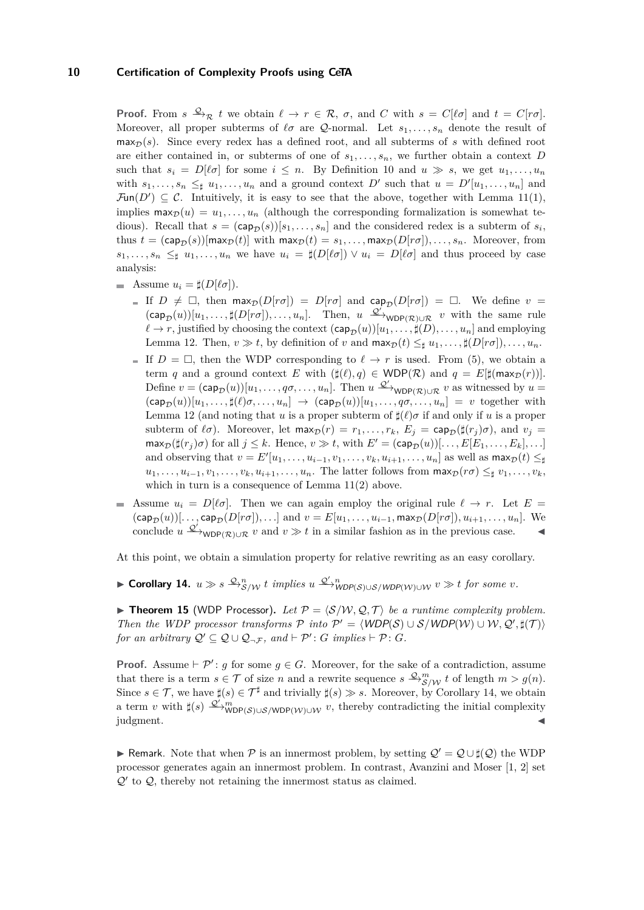**Proof.** From  $s \xrightarrow{\mathcal{Q}} R$  *t* we obtain  $\ell \to r \in \mathcal{R}$ ,  $\sigma$ , and *C* with  $s = C[\ell \sigma]$  and  $t = C[r\sigma]$ . Moreover, all proper subterms of  $\ell \sigma$  are Q-normal. Let  $s_1, \ldots, s_n$  denote the result of  $\max_{\mathcal{D}}(s)$ . Since every redex has a defined root, and all subterms of *s* with defined root are either contained in, or subterms of one of *s*1*, . . . , sn*, we further obtain a context *D* such that  $s_i = D[\ell \sigma]$  for some  $i \leq n$ . By Definition 10 and  $u \gg s$ , we get  $u_1, \ldots, u_n$ with  $s_1, \ldots, s_n \leq \mu u_1, \ldots, u_n$  and a ground context *D'* such that  $u = D'[u_1, \ldots, u_n]$  and  $\mathcal{F}\text{un}(D') \subseteq \mathcal{C}$ . Intuitively, it is easy to see that the above, together with Lemma 11(1), implies  $\max_{D}(u) = u_1, \ldots, u_n$  (although the corresponding formalization is somewhat tedious). Recall that  $s = (cap_{\mathcal{D}}(s))[s_1, \ldots, s_n]$  and the considered redex is a subterm of  $s_i$ , thus  $t = (cap_{\mathcal{D}}(s))[max_{\mathcal{D}}(t)]$  with  $max_{\mathcal{D}}(t) = s_1, \ldots, max_{\mathcal{D}}(D[r\sigma]), \ldots, s_n$ . Moreover, from  $s_1, \ldots, s_n \leq \mathfrak{g}$   $u_1, \ldots, u_n$  we have  $u_i = \sharp(D[\ell \sigma]) \vee u_i = D[\ell \sigma]$  and thus proceed by case analysis:

- Assume  $u_i = \sharp (D[\ell \sigma]).$ 
	- If  $D \neq \Box$ , then  $\max_{D}(D[r\sigma]) = D[r\sigma]$  and  $\text{cap}_{D}(D[r\sigma]) = \Box$ . We define  $v =$  $(\textsf{cap}_{\mathcal{D}}(u))[u_1,\ldots,\sharp(D[r\sigma]),\ldots,u_n].$  Then,  $u \xrightarrow{\mathcal{Q}'}\text{WDP}(\mathcal{R})\cup\mathcal{R}} v$  with the same rule  $\ell \to r$ , justified by choosing the context  $(\textsf{cap}_{\mathcal{D}}(u))[u_1, \ldots, \sharp(D), \ldots, u_n]$  and employing Lemma 12. Then,  $v \gg t$ , by definition of *v* and  $\max_{\mathcal{D}}(t) \leq_t u_1, \ldots, \sharp(D[r\sigma]), \ldots, u_n$ .
	- If  $D = \Box$ , then the WDP corresponding to  $\ell \to r$  is used. From (5), we obtain a term *q* and a ground context *E* with  $(\sharp(\ell), q) \in \text{WDP}(\mathcal{R})$  and  $q = E[\sharp(\max_{\mathcal{D}}(r))]$ . Define  $v = (cap_{\mathcal{D}}(u))[u_1,\ldots,q\sigma,\ldots,u_n]$ . Then  $u \xrightarrow{\mathcal{Q}'} w{\text{op}}(\mathcal{R})\cup \mathcal{R}} v$  as witnessed by  $u =$  $(\textsf{cap}_{\mathcal{D}}(u))[u_1,\ldots,\sharp(\ell)\sigma,\ldots,u_n] \rightarrow (\textsf{cap}_{\mathcal{D}}(u))[u_1,\ldots,q\sigma,\ldots,u_n] = v$  together with Lemma 12 (and noting that *u* is a proper subterm of  $\sharp(\ell)\sigma$  if and only if *u* is a proper subterm of  $\ell \sigma$ ). Moreover, let max $p(r) = r_1, \ldots, r_k$ ,  $E_i = \text{cap}_{\mathcal{D}}(\sharp (r_i) \sigma)$ , and  $v_i =$  $\max_{\mathcal{D}}(\sharp(r_i)\sigma)$  for all  $j \leq k$ . Hence,  $v \gg t$ , with  $E' = (\text{cap}_{\mathcal{D}}(u))[\ldots, E[E_1, \ldots, E_k], \ldots]$ and observing that  $v = E'[u_1, \ldots, u_{i-1}, v_1, \ldots, v_k, u_{i+1}, \ldots, u_n]$  as well as  $\max_{\mathcal{D}}(t) \leq \beta$  $u_1, \ldots, u_{i-1}, v_1, \ldots, v_k, u_{i+1}, \ldots, u_n$ . The latter follows from  $\max_{\mathcal{D}}(r\sigma) \leq_{\sharp} v_1, \ldots, v_k$ which in turn is a consequence of Lemma 11(2) above.
- Assume  $u_i = D[\ell \sigma]$ . Then we can again employ the original rule  $\ell \to r$ . Let  $E =$  $(\textsf{cap}_{\mathcal{D}}(u))[\ldots,\textsf{cap}_{\mathcal{D}}(D[r\sigma]),\ldots]$  and  $v = E[u_1,\ldots,u_{i-1},\textsf{max}_{\mathcal{D}}(D[r\sigma]),u_{i+1},\ldots,u_n]$ . We conclude  $u \xrightarrow{\mathcal{Q}'} w_{\mathsf{D}(\mathcal{R}) \cup \mathcal{R}} v$  and  $v \gg t$  in a similar fashion as in the previous case.

At this point, we obtain a simulation property for relative rewriting as an easy corollary.

 $\blacktriangleright$  **Corollary 14.**  $u \gg s \stackrel{\mathcal{Q}}{\rightarrow} \mathcal{E}_{\mathcal{S}/\mathcal{W}}^n t$  implies  $u \stackrel{\mathcal{Q}'}{\rightarrow} \mathcal{W}_{\mathsf{WDP}(\mathcal{S})\cup\mathcal{S}/\mathsf{WDP}(\mathcal{W})\cup\mathcal{W}} v \gg t$  for some  $v$ .

**Findmer 15** (WDP Processor). Let  $P = \langle S/W, Q, T \rangle$  be a runtime complexity problem. *Then the WDP processor transforms*  $P$  *into*  $P' = \langle WDP(S) \cup S / WDP(W) \cup W, Q', \sharp(T) \rangle$ *for an arbitrary*  $Q' \subseteq Q \cup Q_{\neg \mathcal{F}}$ *, and*  $\vdash \mathcal{P}' : G$  *implies*  $\vdash \mathcal{P} : G$ *.* 

**Proof.** Assume  $\vdash \mathcal{P}'$ : *g* for some  $g \in G$ . Moreover, for the sake of a contradiction, assume that there is a term  $s \in \mathcal{T}$  of size *n* and a rewrite sequence  $s \stackrel{\mathcal{Q}}{\rightarrow} \mathcal{S}^m$  *t* of length  $m > g(n)$ . Since  $s \in \mathcal{T}$ , we have  $\sharp(s) \in \mathcal{T}^{\sharp}$  and trivially  $\sharp(s) \gg s$ . Moreover, by Corollary 14, we obtain a term *v* with  $\sharp(s) \stackrel{\mathcal{Q}' \setminus m}{\longrightarrow} \text{WDP}(s) \cup \mathcal{S}/\text{WDP}(W) \cup \mathcal{W}$  *v*, thereby contradicting the initial complexity  $j$ udgment.

**► Remark.** Note that when  $\mathcal{P}$  is an innermost problem, by setting  $\mathcal{Q}' = \mathcal{Q} \cup \sharp(\mathcal{Q})$  the WDP processor generates again an innermost problem. In contrast, Avanzini and Moser [1, 2] set  $\mathcal{Q}'$  to  $\mathcal{Q}$ , thereby not retaining the innermost status as claimed.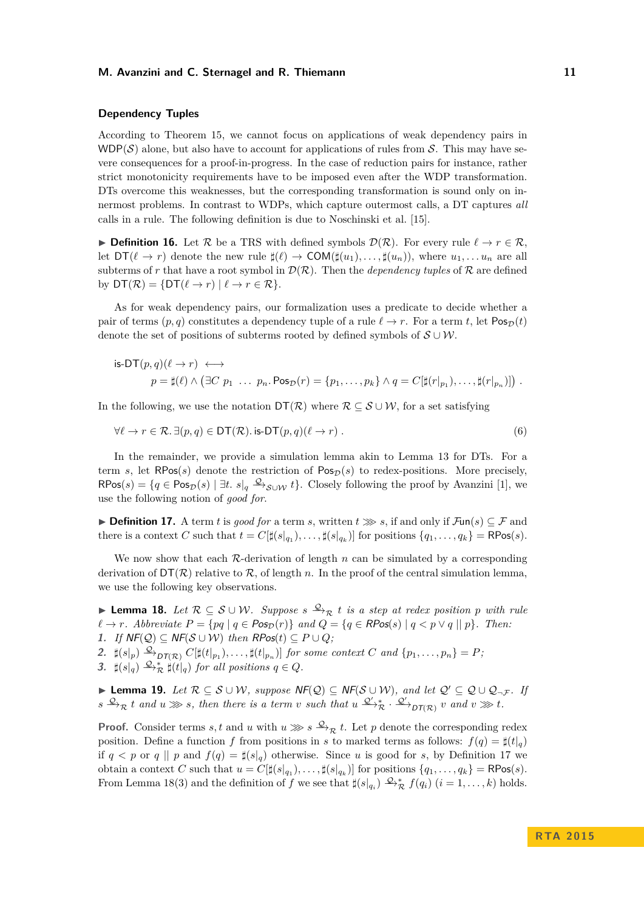#### **Dependency Tuples**

According to Theorem 15, we cannot focus on applications of weak dependency pairs in  $WDP(S)$  alone, but also have to account for applications of rules from S. This may have severe consequences for a proof-in-progress. In the case of reduction pairs for instance, rather strict monotonicity requirements have to be imposed even after the WDP transformation. DTs overcome this weaknesses, but the corresponding transformation is sound only on innermost problems. In contrast to WDPs, which capture outermost calls, a DT captures *all* calls in a rule. The following definition is due to Noschinski et al. [15].

**► Definition 16.** Let  $\mathcal{R}$  be a TRS with defined symbols  $\mathcal{D}(\mathcal{R})$ . For every rule  $\ell \to r \in \mathcal{R}$ , let  $DT(\ell \to r)$  denote the new rule  $\sharp(\ell) \to COM(\sharp(u_1), \ldots, \sharp(u_n))$ , where  $u_1, \ldots, u_n$  are all subterms of r that have a root symbol in  $\mathcal{D}(\mathcal{R})$ . Then the *dependency tuples* of  $\mathcal{R}$  are defined by  $DT(\mathcal{R}) = \{DT(\ell \rightarrow r) | \ell \rightarrow r \in \mathcal{R}\}.$ 

As for weak dependency pairs, our formalization uses a predicate to decide whether a pair of terms  $(p, q)$  constitutes a dependency tuple of a rule  $\ell \rightarrow r$ . For a term *t*, let Pos<sub>D</sub>(*t*) denote the set of positions of subterms rooted by defined symbols of  $\mathcal{S} \cup \mathcal{W}$ .

is-DT
$$
(p,q)(\ell \to r)
$$
  $\longleftrightarrow$   
\n $p = \sharp(\ell) \land (\exists C \ p_1 \ \ldots \ p_n \cdot \text{Pos}_{\mathcal{D}}(r) = \{p_1, \ldots, p_k\} \land q = C[\sharp(r|_{p_1}), \ldots, \sharp(r|_{p_n})])$ .

In the following, we use the notation  $DT(\mathcal{R})$  where  $\mathcal{R} \subseteq \mathcal{S} \cup \mathcal{W}$ , for a set satisfying

$$
\forall \ell \to r \in \mathcal{R}. \exists (p, q) \in \mathsf{DT}(\mathcal{R}). \text{ is-DT}(p, q)(\ell \to r). \tag{6}
$$

In the remainder, we provide a simulation lemma akin to Lemma 13 for DTs. For a term *s*, let  $RPos(s)$  denote the restriction of  $Pos_{\mathcal{D}}(s)$  to redex-positions. More precisely,  $\mathsf{RPos}(s) = \{q \in \mathsf{Pos}_{\mathcal{D}}(s) \mid \exists t. \ s|_q \xrightarrow{\mathcal{Q}} \mathcal{S} \cup \mathcal{W} \ t\}.$  Closely following the proof by Avanzini [1], we use the following notion of *good for*.

**► Definition 17.** A term *t* is good for a term *s*, written  $t \gg s$ , if and only if  $\mathcal{F}\text{un}(s) \subseteq \mathcal{F}$  and there is a context *C* such that  $t = C[\sharp(s|_{q_1}), \ldots, \sharp(s|_{q_k})]$  for positions  $\{q_1, \ldots, q_k\} = \mathsf{RPos}(s)$ .

We now show that each  $\mathcal{R}$ -derivation of length *n* can be simulated by a corresponding derivation of  $DT(\mathcal{R})$  relative to  $\mathcal{R}$ , of length *n*. In the proof of the central simulation lemma, we use the following key observations.

**► Lemma 18.** Let  $\mathcal{R} \subseteq \mathcal{S} \cup \mathcal{W}$ . Suppose  $s \stackrel{\mathcal{Q}}{\rightarrow}_{\mathcal{R}} t$  is a step at redex position p with rule  $\ell \rightarrow r$ *. Abbreviate*  $P = \{pq \mid q \in \text{Pos}_D(r)\}$  *and*  $Q = \{q \in \text{RPos}(s) \mid q < p \vee q \mid p\}$ *. Then:* **1.** *If*  $NF(Q) ⊆ NF(S ∪ W)$  *then*  $RPos(t) ⊆ P ∪ Q$ *;* 

2.  $\sharp(s|_p) \xrightarrow{\mathcal{Q}}_{DT(\mathcal{R})} C[\sharp(t|_{p_1}), \ldots, \sharp(t|_{p_n})]$  for some context C and  $\{p_1, \ldots, p_n\} = P$ ,

**3.**  $\sharp(s|_q) \xrightarrow{\mathcal{Q}}^* \sharp(t|_q)$  for all positions  $q \in Q$ .

**► Lemma 19.** Let  $\mathcal{R} \subseteq \mathcal{S} \cup \mathcal{W}$ , suppose  $\mathsf{NF}(\mathcal{Q}) \subseteq \mathsf{NF}(\mathcal{S} \cup \mathcal{W})$ , and let  $\mathcal{Q}' \subseteq \mathcal{Q} \cup \mathcal{Q}_{\neg \mathcal{F}}$ . If  $s \xrightarrow{\mathcal{Q}} \mathcal{R}$  *t* and  $u \ggg s$ , then there is a term *v* such that  $u \xrightarrow{\mathcal{Q}'} \mathcal{R}$ .  $\xrightarrow{\mathcal{Q}'} \mathcal{D}(\mathcal{R})$  *v* and  $v \ggg t$ .

**Proof.** Consider terms *s, t* and *u* with  $u \gg s \xrightarrow{\mathcal{Q}} g t$ . Let *p* denote the corresponding redex position. Define a function *f* from positions in *s* to marked terms as follows:  $f(q) = \sharp(t|_q)$ if  $q < p$  or  $q \mid p$  and  $f(q) = \sharp (s|_q)$  otherwise. Since *u* is good for *s*, by Definition 17 we obtain a context *C* such that  $u = C[\sharp(s|_{q_1}), \ldots, \sharp(s|_{q_k})]$  for positions  $\{q_1, \ldots, q_k\} = \mathsf{RPos}(s)$ . From Lemma 18(3) and the definition of *f* we see that  $\sharp(s|_{q_i}) \stackrel{\mathcal{Q}_\star}{\to}^* f(q_i)$   $(i = 1, \ldots, k)$  holds.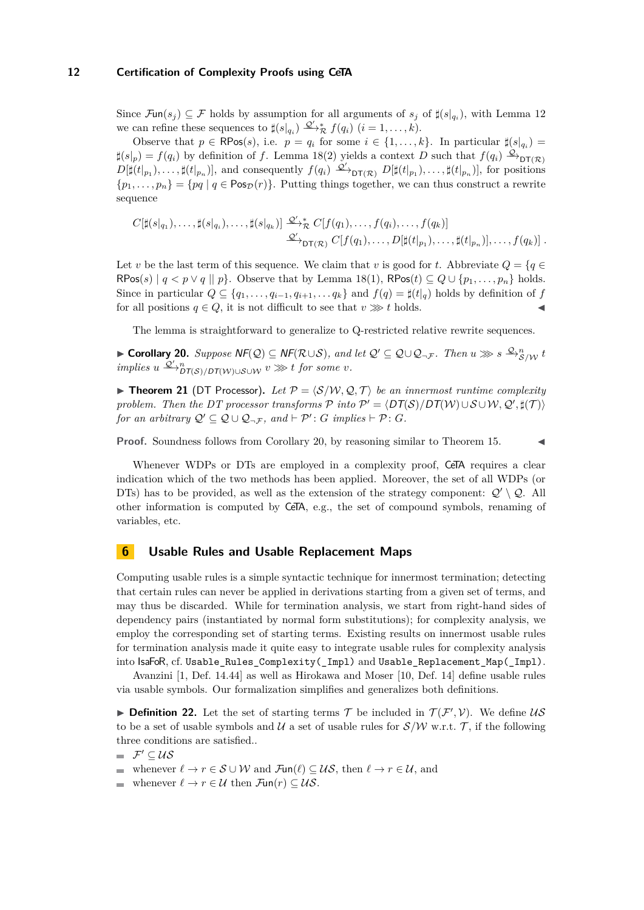Since  $\mathcal{F}\text{un}(s_j) \subseteq \mathcal{F}$  holds by assumption for all arguments of  $s_j$  of  $\sharp(s|_{q_i})$ , with Lemma 12 we can refine these sequences to  $\sharp(s|_{q_i}) \xrightarrow{\mathcal{Q}'} \ast_R f(q_i)$   $(i = 1, \ldots, k)$ .

Observe that  $p \in \mathsf{RPos}(s)$ , i.e.  $p = q_i$  for some  $i \in \{1, \ldots, k\}$ . In particular  $\sharp(s|_{q_i}) =$  $\sharp(s|_p) = f(q_i)$  by definition of *f*. Lemma 18(2) yields a context *D* such that  $f(q_i) \xrightarrow{\mathcal{Q}}$ <sub>DT(*R*)</sub>  $D[\sharp(t|_{p_1}),\ldots,\sharp(t|_{p_n})]$ , and consequently  $f(q_i) \xrightarrow{\mathcal{Q}'} \mathsf{DT}(\mathcal{R})$   $D[\sharp(t|_{p_1}),\ldots,\sharp(t|_{p_n})]$ , for positions  ${p_1, \ldots, p_n} = {pq | q \in \text{Pos}_{\mathcal{D}}(r)}$ . Putting things together, we can thus construct a rewrite sequence

$$
C[\sharp(s|_{q_1}),\ldots,\sharp(s|_{q_i}),\ldots,\sharp(s|_{q_k})] \xrightarrow{\mathcal{Q}'} \mathcal{R}} C[f(q_1),\ldots,f(q_i),\ldots,f(q_k)]
$$
  

$$
\xrightarrow{\mathcal{Q}'} \mathsf{DT}(\mathcal{R}) C[f(q_1),\ldots,D[\sharp(t|_{p_1}),\ldots,\sharp(t|_{p_n})],\ldots,f(q_k)] .
$$

Let *v* be the last term of this sequence. We claim that *v* is good for *t*. Abbreviate  $Q = \{q \in$ RPos(s)  $| q \lt p \vee q | | p$ . Observe that by Lemma 18(1), RPos(t)  $\subseteq Q \cup \{p_1, \ldots, p_n\}$  holds. Since in particular  $Q \subseteq \{q_1, \ldots, q_{i-1}, q_{i+1}, \ldots, q_k\}$  and  $f(q) = \sharp(\mathcal{t}|_q)$  holds by definition of *f* for all positions  $q \in Q$ , it is not difficult to see that  $v \gg y t$  holds.

The lemma is straightforward to generalize to Q-restricted relative rewrite sequences.

 $\blacktriangleright$  **Corollary 20.** *Suppose*  $\mathsf{NF}(\mathcal{Q}) \subseteq \mathsf{NF}(\mathcal{R}\cup\mathcal{S})$ , and let  $\mathcal{Q}' \subseteq \mathcal{Q}\cup\mathcal{Q}_{\neg\mathcal{F}}$ . Then  $u \ggg s \stackrel{\mathcal{Q}, n}{\longrightarrow} g/\mathcal{W}} t$  $\therefore$  *implies*  $u \xrightarrow{\mathcal{Q}'} n_{\mathcal{DT}(\mathcal{S})/\mathcal{DT}(\mathcal{W}) \cup \mathcal{S} \cup \mathcal{W}} v \ggg t$  for some *v*.

**Theorem 21** (DT Processor). Let  $P = \langle S/W, Q, T \rangle$  be an innermost runtime complexity *problem. Then the DT processor transforms*  $\mathcal{P}$  *into*  $\mathcal{P}' = \langle DT(S)/DT(W) \cup S \cup W, Q', \sharp(T) \rangle$ *for an arbitrary*  $Q' \subseteq Q \cup Q_{\neg \mathcal{F}}$ *, and*  $\vdash \mathcal{P}' : G$  *implies*  $\vdash \mathcal{P} : G$ *.* 

**Proof.** Soundness follows from Corollary 20, by reasoning similar to Theorem 15.

Whenever WDPs or DTs are employed in a complexity proof, CeTA requires a clear indication which of the two methods has been applied. Moreover, the set of all WDPs (or DTs) has to be provided, as well as the extension of the strategy component:  $Q' \setminus Q$ . All other information is computed by CeTA, e.g., the set of compound symbols, renaming of variables, etc.

# **6 Usable Rules and Usable Replacement Maps**

Computing usable rules is a simple syntactic technique for innermost termination; detecting that certain rules can never be applied in derivations starting from a given set of terms, and may thus be discarded. While for termination analysis, we start from right-hand sides of dependency pairs (instantiated by normal form substitutions); for complexity analysis, we employ the corresponding set of starting terms. Existing results on innermost usable rules for termination analysis made it quite easy to integrate usable rules for complexity analysis into IsaFoR, cf. Usable\_Rules\_Complexity(\_Impl) and Usable\_Replacement\_Map(\_Impl).

Avanzini [1, Def. 14.44] as well as Hirokawa and Moser [10, Def. 14] define usable rules via usable symbols. Our formalization simplifies and generalizes both definitions.

**Definition 22.** Let the set of starting terms  $\mathcal{T}$  be included in  $\mathcal{T}(\mathcal{F}', \mathcal{V})$ . We define  $\mathcal{US}$ to be a set of usable symbols and  $\mathcal U$  a set of usable rules for  $\mathcal S/\mathcal W$  w.r.t.  $\mathcal T$ , if the following three conditions are satisfied..

 $\mathcal{F}' \subseteq \mathcal{US}$ 

- whenever  $\ell \to r \in \mathcal{S} \cup \mathcal{W}$  and  $\mathcal{F}\text{un}(\ell) \subset \mathcal{US}$ , then  $\ell \to r \in \mathcal{U}$ , and
- whenever  $\ell \to r \in \mathcal{U}$  then  $\mathcal{F}$ un(*r*)  $\subseteq \mathcal{U}\mathcal{S}$ .  $\sim$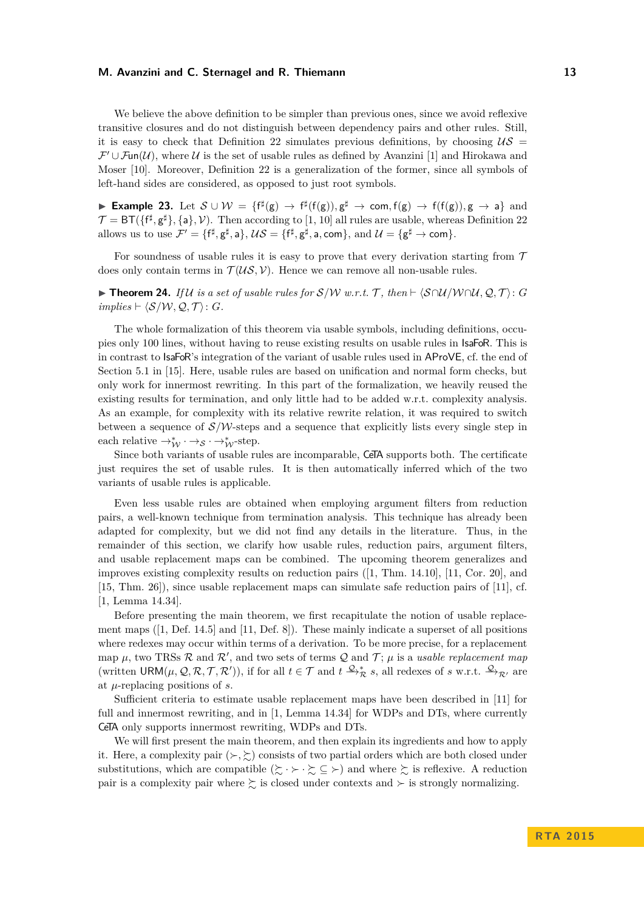We believe the above definition to be simpler than previous ones, since we avoid reflexive transitive closures and do not distinguish between dependency pairs and other rules. Still, it is easy to check that Definition 22 simulates previous definitions, by choosing  $\mathcal{US}$  =  $\mathcal{F}' \cup \mathcal{F}$ un(U), where U is the set of usable rules as defined by Avanzini [1] and Hirokawa and Moser [10]. Moreover, Definition 22 is a generalization of the former, since all symbols of left-hand sides are considered, as opposed to just root symbols.

**Example 23.** Let  $S \cup W = \{f^{\sharp}(g) \rightarrow f^{\sharp}(f(g)), g^{\sharp} \rightarrow com, f(g) \rightarrow f(f(g)), g \rightarrow a\}$  and  $\mathcal{T} = \text{BT}(\{\text{f}^\sharp, \text{g}^\sharp\}, \{\text{a}\}, \mathcal{V})$ . Then according to [1, 10] all rules are usable, whereas Definition 22 allows us to use  $\mathcal{F}' = \{f^{\sharp}, g^{\sharp}, a\}, \, \mathcal{US} = \{f^{\sharp}, g^{\sharp}, a, \text{com}\}, \, \text{and } \mathcal{U} = \{g^{\sharp} \to \text{com}\}.$ 

For soundness of usable rules it is easy to prove that every derivation starting from  $\mathcal T$ does only contain terms in  $\mathcal{T}(\mathcal{US}, \mathcal{V})$ . Hence we can remove all non-usable rules.

**► Theorem 24.** *If* U *is a set of usable rules for*  $S/W$  *w.r.t.*  $T$ *, then*  $\vdash \langle S \cap U / W \cap U$ *,*  $Q, T \rangle$ : *G*  $implies$   $\vdash \langle \mathcal{S}/\mathcal{W}, \mathcal{Q}, \mathcal{T} \rangle$ : *G*.

The whole formalization of this theorem via usable symbols, including definitions, occupies only 100 lines, without having to reuse existing results on usable rules in IsaFoR. This is in contrast to IsaFoR's integration of the variant of usable rules used in AProVE, cf. the end of Section 5.1 in [15]. Here, usable rules are based on unification and normal form checks, but only work for innermost rewriting. In this part of the formalization, we heavily reused the existing results for termination, and only little had to be added w.r.t. complexity analysis. As an example, for complexity with its relative rewrite relation, it was required to switch between a sequence of  $S/W$ -steps and a sequence that explicitly lists every single step in each relative  $\rightarrow^*_{\mathcal{W}} \rightarrow_{\mathcal{S}} \rightarrow^*_{\mathcal{W}}$ -step.

Since both variants of usable rules are incomparable, CeTA supports both. The certificate just requires the set of usable rules. It is then automatically inferred which of the two variants of usable rules is applicable.

Even less usable rules are obtained when employing argument filters from reduction pairs, a well-known technique from termination analysis. This technique has already been adapted for complexity, but we did not find any details in the literature. Thus, in the remainder of this section, we clarify how usable rules, reduction pairs, argument filters, and usable replacement maps can be combined. The upcoming theorem generalizes and improves existing complexity results on reduction pairs ([1, Thm. 14.10], [11, Cor. 20], and [15, Thm. 26]), since usable replacement maps can simulate safe reduction pairs of [11], cf. [1, Lemma 14.34].

Before presenting the main theorem, we first recapitulate the notion of usable replacement maps ([1, Def. 14.5] and [11, Def. 8]). These mainly indicate a superset of all positions where redexes may occur within terms of a derivation. To be more precise, for a replacement map  $\mu$ , two TRSs  $\mathcal R$  and  $\mathcal R'$ , and two sets of terms  $\mathcal Q$  and  $\mathcal T$ ;  $\mu$  is a *usable replacement map* (written  $\mathsf{URM}(\mu, \mathcal{Q}, \mathcal{R}, \mathcal{T}, \mathcal{R}'))$ , if for all  $t \in \mathcal{T}$  and  $t \xrightarrow{\mathcal{Q}_*} s$ , all redexes of *s* w.r.t.  $\xrightarrow{\mathcal{Q}}_{\mathcal{R}'}$  are at *µ*-replacing positions of *s*.

Sufficient criteria to estimate usable replacement maps have been described in [11] for full and innermost rewriting, and in  $[1, \text{ Lemma } 14.34]$  for WDPs and DTs, where currently CeTA only supports innermost rewriting, WDPs and DTs.

We will first present the main theorem, and then explain its ingredients and how to apply it. Here, a complexity pair  $(\succ,\succsim)$  consists of two partial orders which are both closed under substitutions, which are compatible  $(\succsim \cdot \succ \cdot \succsim \subseteq \succ)$  and where  $\succsim$  is reflexive. A reduction pair is a complexity pair where  $\succsim$  is closed under contexts and  $\succ$  is strongly normalizing.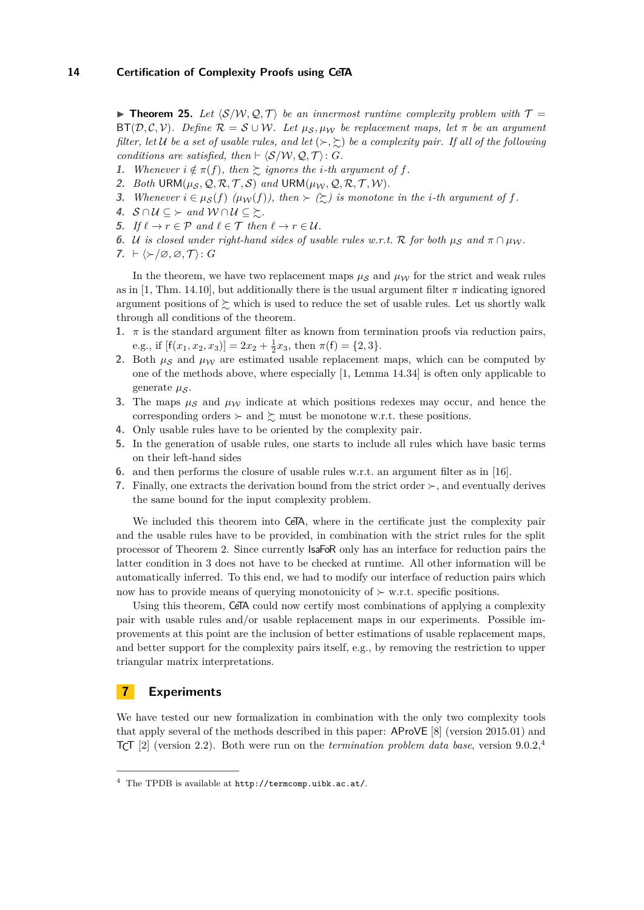**Find Theorem 25.** Let  $\langle S/W, Q, T \rangle$  be an innermost runtime complexity problem with  $T =$  $BT(\mathcal{D}, \mathcal{C}, \mathcal{V})$ *. Define*  $\mathcal{R} = \mathcal{S} \cup \mathcal{W}$ *. Let*  $\mu_{\mathcal{S}}, \mu_{\mathcal{W}}$  be replacement maps, let  $\pi$  be an argument *filter, let*  $U$  *be a set of usable rules, and let*  $(\succ,\succsim)$  *be a complexity pair. If all of the following conditions are satisfied, then*  $\vdash \langle S/W, \mathcal{Q}, \mathcal{T} \rangle$ : *G*.

- **1.** *Whenever*  $i \notin \pi(f)$ *, then*  $\succeq$  *ignores the i*-*th* argument of f.
- 2. *Both*  $\text{URM}(\mu_{\mathcal{S}}, \mathcal{Q}, \mathcal{R}, \mathcal{T}, \mathcal{S})$  *and*  $\text{URM}(\mu_{\mathcal{W}}, \mathcal{Q}, \mathcal{R}, \mathcal{T}, \mathcal{W})$ *.*
- **3.** *Whenever*  $i \in \mu_{\mathcal{S}}(f)$   $(\mu_{\mathcal{W}}(f))$ , then  $\succ (\succsim)$  is monotone in the *i*-th argument of f.
- **4.**  $S \cap U \subseteq \succ$  and  $W \cap U \subseteq \succsim$ .
- **5.** *If*  $\ell \to r \in \mathcal{P}$  *and*  $\ell \in \mathcal{T}$  *then*  $\ell \to r \in \mathcal{U}$ *.*
- **6.** U is closed under right-hand sides of usable rules w.r.t. R for both  $\mu_S$  and  $\pi \cap \mu_W$ .
- **7.**  $\vdash \langle \succ \rangle \varnothing, \varnothing, \mathcal{T} \rangle: G$

In the theorem, we have two replacement maps  $\mu_S$  and  $\mu_W$  for the strict and weak rules as in [1, Thm. 14.10], but additionally there is the usual argument filter  $\pi$  indicating ignored argument positions of  $\succsim$  which is used to reduce the set of usable rules. Let us shortly walk through all conditions of the theorem.

- **1.** *π* is the standard argument filter as known from termination proofs via reduction pairs, e.g., if  $[f(x_1, x_2, x_3)] = 2x_2 + \frac{1}{2}x_3$ , then  $\pi(f) = \{2, 3\}.$
- 2. Both  $\mu_S$  and  $\mu_W$  are estimated usable replacement maps, which can be computed by one of the methods above, where especially [1, Lemma 14.34] is often only applicable to generate μ<sub>S</sub>.
- **3.** The maps  $\mu_S$  and  $\mu_W$  indicate at which positions redexes may occur, and hence the corresponding orders  $\succ$  and  $\succsim$  must be monotone w.r.t. these positions.
- **4.** Only usable rules have to be oriented by the complexity pair.
- **5.** In the generation of usable rules, one starts to include all rules which have basic terms on their left-hand sides
- **6.** and then performs the closure of usable rules w.r.t. an argument filter as in [16].
- **7.** Finally, one extracts the derivation bound from the strict order  $\succ$ , and eventually derives the same bound for the input complexity problem.

We included this theorem into CeTA, where in the certificate just the complexity pair and the usable rules have to be provided, in combination with the strict rules for the split processor of Theorem 2. Since currently IsaFoR only has an interface for reduction pairs the latter condition in 3 does not have to be checked at runtime. All other information will be automatically inferred. To this end, we had to modify our interface of reduction pairs which now has to provide means of querying monotonicity of  $\succ$  w.r.t. specific positions.

Using this theorem, CeTA could now certify most combinations of applying a complexity pair with usable rules and/or usable replacement maps in our experiments. Possible improvements at this point are the inclusion of better estimations of usable replacement maps, and better support for the complexity pairs itself, e.g., by removing the restriction to upper triangular matrix interpretations.

# **7 Experiments**

We have tested our new formalization in combination with the only two complexity tools that apply several of the methods described in this paper: AProVE [8] (version 2015.01) and TCT [2] (version 2.2). Both were run on the *termination problem data base*, version 9.0.2,<sup>4</sup>

<sup>4</sup> The TPDB is available at http://termcomp.uibk.ac.at/.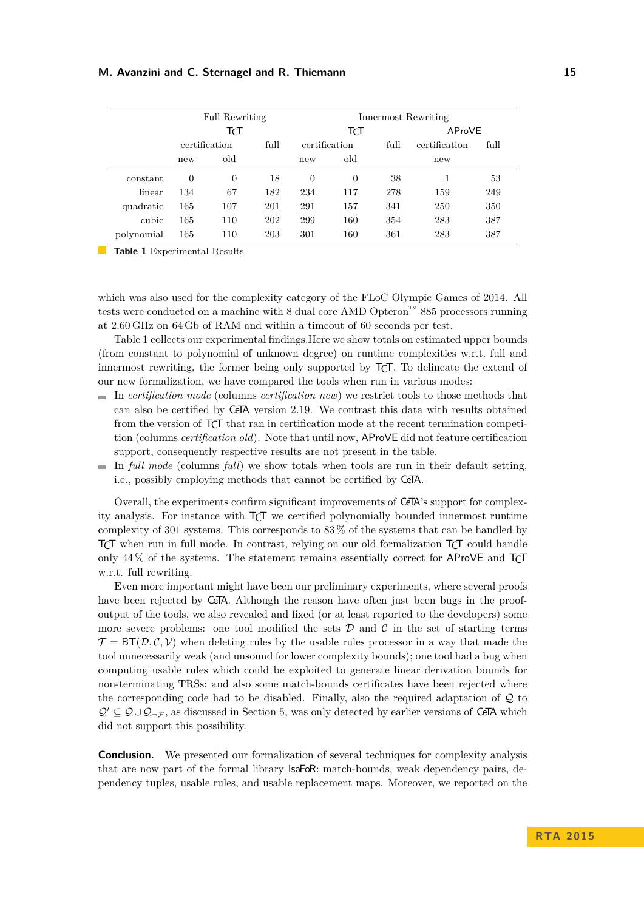|            |               | <b>Full Rewriting</b> |      | Innermost Rewriting |                |      |               |      |
|------------|---------------|-----------------------|------|---------------------|----------------|------|---------------|------|
|            | TCT           |                       |      | TCT                 |                |      | AProVE        |      |
|            | certification |                       | full | certification       |                | full | certification | full |
|            | new           | old                   |      | new                 | old            |      | new           |      |
| constant   | $\theta$      | $\overline{0}$        | 18   | $\theta$            | $\overline{0}$ | 38   |               | 53   |
| linear     | 134           | 67                    | 182  | 234                 | 117            | 278  | 159           | 249  |
| quadratic  | 165           | 107                   | 201  | 291                 | 157            | 341  | 250           | 350  |
| cubic      | 165           | 110                   | 202  | 299                 | 160            | 354  | 283           | 387  |
| polynomial | 165           | 110                   | 203  | 301                 | 160            | 361  | 283           | 387  |

**Table 1** Experimental Results

which was also used for the complexity category of the FLoC Olympic Games of 2014. All tests were conducted on a machine with 8 dual core AMD Opteron™ 885 processors running at 2.60 GHz on 64 Gb of RAM and within a timeout of 60 seconds per test.

Table 1 collects our experimental findings.Here we show totals on estimated upper bounds (from constant to polynomial of unknown degree) on runtime complexities w.r.t. full and innermost rewriting, the former being only supported by TCT. To delineate the extend of our new formalization, we have compared the tools when run in various modes:

- In *certification mode* (columns *certification new*) we restrict tools to those methods that can also be certified by CeTA version 2.19. We contrast this data with results obtained from the version of TCT that ran in certification mode at the recent termination competition (columns *certification old*). Note that until now, AProVE did not feature certification support, consequently respective results are not present in the table.
- $\blacksquare$  In *full mode* (columns *full*) we show totals when tools are run in their default setting, i.e., possibly employing methods that cannot be certified by CeTA.

Overall, the experiments confirm significant improvements of CeTA's support for complexity analysis. For instance with TCT we certified polynomially bounded innermost runtime complexity of 301 systems. This corresponds to 83 % of the systems that can be handled by TCT when run in full mode. In contrast, relying on our old formalization TCT could handle only 44 % of the systems. The statement remains essentially correct for AProVE and TCT w.r.t. full rewriting.

Even more important might have been our preliminary experiments, where several proofs have been rejected by CeTA. Although the reason have often just been bugs in the proofoutput of the tools, we also revealed and fixed (or at least reported to the developers) some more severe problems: one tool modified the sets  $\mathcal D$  and  $\mathcal C$  in the set of starting terms  $\mathcal{T} = BT(\mathcal{D}, \mathcal{C}, \mathcal{V})$  when deleting rules by the usable rules processor in a way that made the tool unnecessarily weak (and unsound for lower complexity bounds); one tool had a bug when computing usable rules which could be exploited to generate linear derivation bounds for non-terminating TRSs; and also some match-bounds certificates have been rejected where the corresponding code had to be disabled. Finally, also the required adaptation of Q to  $Q' \subseteq Q \cup Q_{\neg \mathcal{F}}$ , as discussed in Section 5, was only detected by earlier versions of CeTA which did not support this possibility.

**Conclusion.** We presented our formalization of several techniques for complexity analysis that are now part of the formal library IsaFoR: match-bounds, weak dependency pairs, dependency tuples, usable rules, and usable replacement maps. Moreover, we reported on the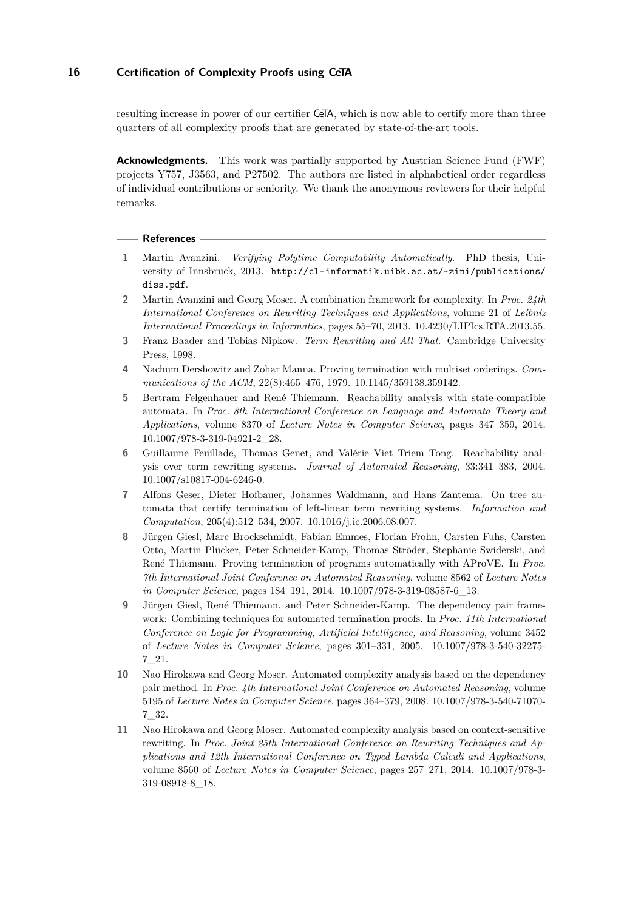resulting increase in power of our certifier CeTA, which is now able to certify more than three quarters of all complexity proofs that are generated by state-of-the-art tools.

**Acknowledgments.** This work was partially supported by Austrian Science Fund (FWF) projects Y757, J3563, and P27502. The authors are listed in alphabetical order regardless of individual contributions or seniority. We thank the anonymous reviewers for their helpful remarks.

#### **References**

- **1** Martin Avanzini. *Verifying Polytime Computability Automatically*. PhD thesis, University of Innsbruck, 2013. http://cl-informatik.uibk.ac.at/~zini/publications/ diss.pdf.
- **2** Martin Avanzini and Georg Moser. A combination framework for complexity. In *Proc. 24th International Conference on Rewriting Techniques and Applications*, volume 21 of *Leibniz International Proceedings in Informatics*, pages 55–70, 2013. 10.4230/LIPIcs.RTA.2013.55.
- **3** Franz Baader and Tobias Nipkow. *Term Rewriting and All That*. Cambridge University Press, 1998.
- **4** Nachum Dershowitz and Zohar Manna. Proving termination with multiset orderings. *Communications of the ACM*, 22(8):465–476, 1979. 10.1145/359138.359142.
- **5** Bertram Felgenhauer and René Thiemann. Reachability analysis with state-compatible automata. In *Proc. 8th International Conference on Language and Automata Theory and Applications*, volume 8370 of *Lecture Notes in Computer Science*, pages 347–359, 2014. 10.1007/978-3-319-04921-2\_28.
- **6** Guillaume Feuillade, Thomas Genet, and Valérie Viet Triem Tong. Reachability analysis over term rewriting systems. *Journal of Automated Reasoning*, 33:341–383, 2004. 10.1007/s10817-004-6246-0.
- **7** Alfons Geser, Dieter Hofbauer, Johannes Waldmann, and Hans Zantema. On tree automata that certify termination of left-linear term rewriting systems. *Information and Computation*, 205(4):512–534, 2007. 10.1016/j.ic.2006.08.007.
- **8** Jürgen Giesl, Marc Brockschmidt, Fabian Emmes, Florian Frohn, Carsten Fuhs, Carsten Otto, Martin Plücker, Peter Schneider-Kamp, Thomas Ströder, Stephanie Swiderski, and René Thiemann. Proving termination of programs automatically with AProVE. In *Proc. 7th International Joint Conference on Automated Reasoning*, volume 8562 of *Lecture Notes in Computer Science*, pages 184–191, 2014. 10.1007/978-3-319-08587-6\_13.
- **9** Jürgen Giesl, René Thiemann, and Peter Schneider-Kamp. The dependency pair framework: Combining techniques for automated termination proofs. In *Proc. 11th International Conference on Logic for Programming, Artificial Intelligence, and Reasoning*, volume 3452 of *Lecture Notes in Computer Science*, pages 301–331, 2005. 10.1007/978-3-540-32275- 7\_21.
- **10** Nao Hirokawa and Georg Moser. Automated complexity analysis based on the dependency pair method. In *Proc. 4th International Joint Conference on Automated Reasoning*, volume 5195 of *Lecture Notes in Computer Science*, pages 364–379, 2008. 10.1007/978-3-540-71070- 7\_32.
- **11** Nao Hirokawa and Georg Moser. Automated complexity analysis based on context-sensitive rewriting. In *Proc. Joint 25th International Conference on Rewriting Techniques and Applications and 12th International Conference on Typed Lambda Calculi and Applications*, volume 8560 of *Lecture Notes in Computer Science*, pages 257–271, 2014. 10.1007/978-3- 319-08918-8\_18.